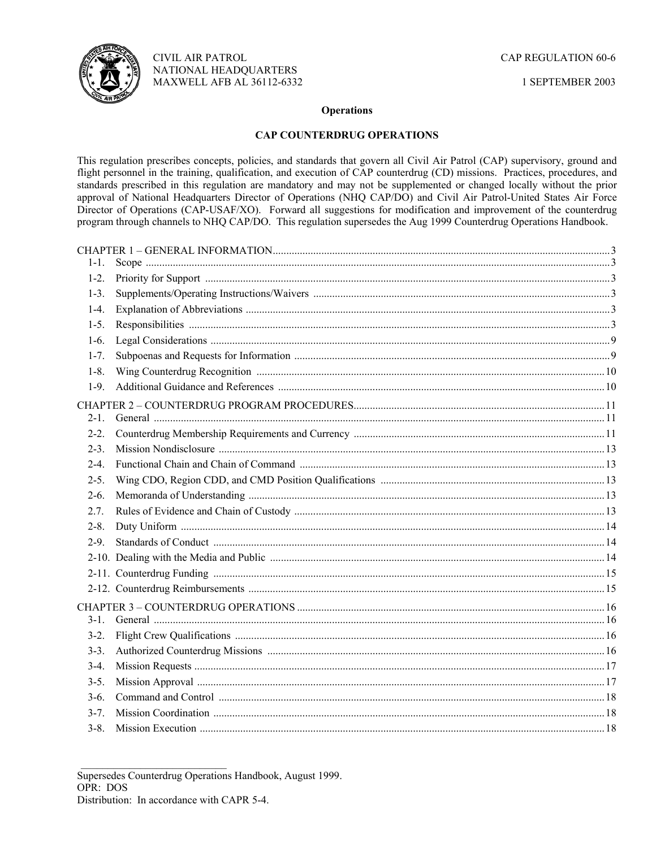

1 SEPTEMBER 2003

### **Operations**

# **CAP COUNTERDRUG OPERATIONS**

This regulation prescribes concepts, policies, and standards that govern all Civil Air Patrol (CAP) supervisory, ground and flight personnel in the training, qualification, and execution of CAP counterdrug (CD) missions. Practices, procedures, and standards prescribed in this regulation are mandatory and may not be supplemented or changed locally without the prior approval of National Headquarters Director of Operations (NHQ CAP/DO) and Civil Air Patrol-United States Air Force Director of Operations (CAP-USAF/XO). Forward all suggestions for modification and improvement of the counterdrug program through channels to NHQ CAP/DO. This regulation supersedes the Aug 1999 Counterdrug Operations Handbook.

| $1 - 1$ . |  |
|-----------|--|
| $1-2.$    |  |
| $1-3.$    |  |
| $1-4.$    |  |
| $1-5$ .   |  |
| $1-6.$    |  |
| $1 - 7$ . |  |
| $1 - 8$   |  |
| $1-9.$    |  |
|           |  |
| $2 - 1$ . |  |
| $2 - 2$ . |  |
| $2 - 3$ . |  |
| $2-4$     |  |
| $2-5.$    |  |
| $2-6.$    |  |
| 2.7.      |  |
| $2 - 8$ . |  |
| $2-9$     |  |
|           |  |
|           |  |
|           |  |
|           |  |
| $3 - 1$   |  |
| $3-2.$    |  |
| $3 - 3$ . |  |
| $3-4.$    |  |
| $3 - 5.$  |  |
| $3-6.$    |  |
| $3 - 7$   |  |
| $3 - 8$   |  |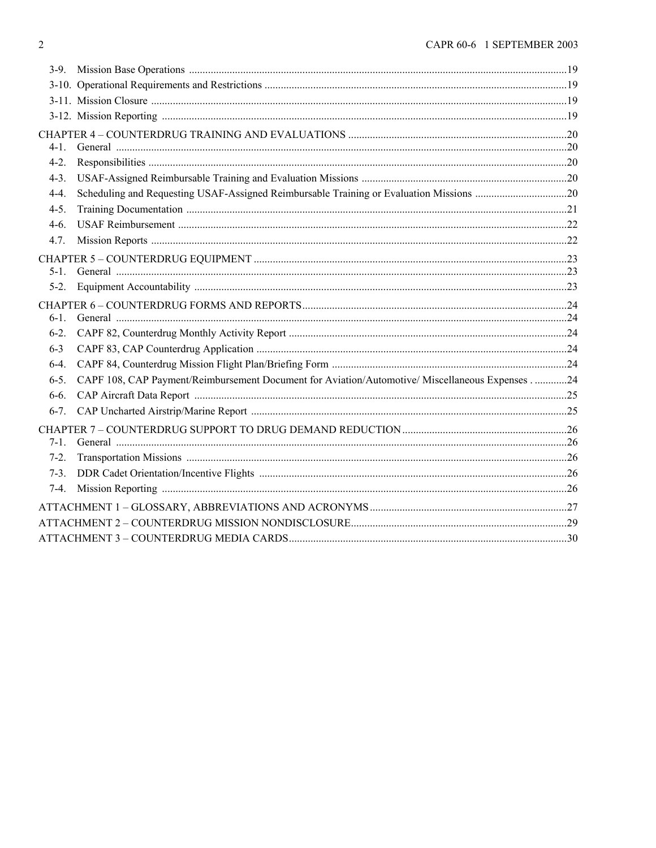| 4-1.      |                                                                                                |  |
|-----------|------------------------------------------------------------------------------------------------|--|
| $4 - 2$ . |                                                                                                |  |
| $4-3.$    |                                                                                                |  |
| $4-4.$    |                                                                                                |  |
| $4-5.$    |                                                                                                |  |
| $4-6.$    |                                                                                                |  |
| 4.7.      |                                                                                                |  |
|           |                                                                                                |  |
| $5-1$ .   |                                                                                                |  |
| $5-2.$    |                                                                                                |  |
|           |                                                                                                |  |
| $6-1$ .   |                                                                                                |  |
| $6-2.$    |                                                                                                |  |
| $6 - 3$   |                                                                                                |  |
| $6-4.$    |                                                                                                |  |
| $6-5.$    | CAPF 108, CAP Payment/Reimbursement Document for Aviation/Automotive/ Miscellaneous Expenses24 |  |
| $6-6.$    |                                                                                                |  |
| $6-7.$    |                                                                                                |  |
|           |                                                                                                |  |
| $7-1.$    |                                                                                                |  |
| $7-2.$    |                                                                                                |  |
| $7-3.$    |                                                                                                |  |
| $7-4.$    |                                                                                                |  |
|           |                                                                                                |  |
|           |                                                                                                |  |
|           |                                                                                                |  |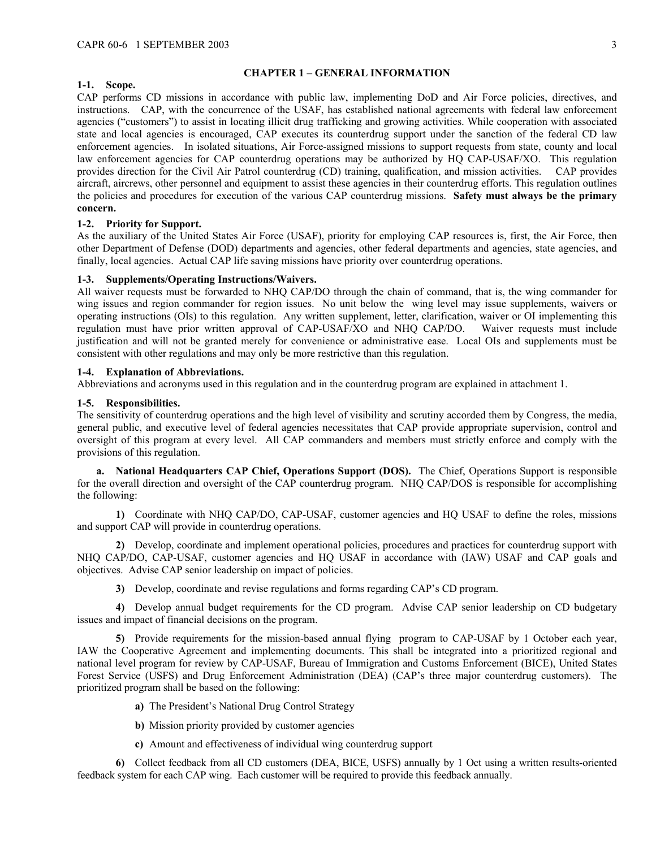#### <span id="page-2-0"></span>**CHAPTER 1 – GENERAL INFORMATION**

# <span id="page-2-1"></span>**1-1. Scope.**

CAP performs CD missions in accordance with public law, implementing DoD and Air Force policies, directives, and instructions. CAP, with the concurrence of the USAF, has established national agreements with federal law enforcement agencies ("customers") to assist in locating illicit drug trafficking and growing activities. While cooperation with associated state and local agencies is encouraged, CAP executes its counterdrug support under the sanction of the federal CD law enforcement agencies. In isolated situations, Air Force-assigned missions to support requests from state, county and local law enforcement agencies for CAP counterdrug operations may be authorized by HQ CAP-USAF/XO. This regulation provides direction for the Civil Air Patrol counterdrug (CD) training, qualification, and mission activities. CAP provides aircraft, aircrews, other personnel and equipment to assist these agencies in their counterdrug efforts. This regulation outlines the policies and procedures for execution of the various CAP counterdrug missions. **Safety must always be the primary concern.**

### <span id="page-2-2"></span>**1-2. Priority for Support.**

As the auxiliary of the United States Air Force (USAF), priority for employing CAP resources is, first, the Air Force, then other Department of Defense (DOD) departments and agencies, other federal departments and agencies, state agencies, and finally, local agencies. Actual CAP life saving missions have priority over counterdrug operations.

#### <span id="page-2-3"></span>**1-3. Supplements/Operating Instructions/Waivers.**

All waiver requests must be forwarded to NHQ CAP/DO through the chain of command, that is, the wing commander for wing issues and region commander for region issues. No unit below the wing level may issue supplements, waivers or operating instructions (OIs) to this regulation. Any written supplement, letter, clarification, waiver or OI implementing this regulation must have prior written approval of CAP-USAF/XO and NHQ CAP/DO. Waiver requests must include justification and will not be granted merely for convenience or administrative ease. Local OIs and supplements must be consistent with other regulations and may only be more restrictive than this regulation.

#### <span id="page-2-4"></span>**1-4. Explanation of Abbreviations.**

Abbreviations and acronyms used in this regulation and in the counterdrug program are explained in attachment 1.

#### <span id="page-2-5"></span>**1-5. Responsibilities.**

The sensitivity of counterdrug operations and the high level of visibility and scrutiny accorded them by Congress, the media, general public, and executive level of federal agencies necessitates that CAP provide appropriate supervision, control and oversight of this program at every level. All CAP commanders and members must strictly enforce and comply with the provisions of this regulation.

**a. National Headquarters CAP Chief, Operations Support (DOS).** The Chief, Operations Support is responsible for the overall direction and oversight of the CAP counterdrug program. NHQ CAP/DOS is responsible for accomplishing the following:

**1)** Coordinate with NHQ CAP/DO, CAP-USAF, customer agencies and HQ USAF to define the roles, missions and support CAP will provide in counterdrug operations.

**2)** Develop, coordinate and implement operational policies, procedures and practices for counterdrug support with NHQ CAP/DO, CAP-USAF, customer agencies and HQ USAF in accordance with (IAW) USAF and CAP goals and objectives. Advise CAP senior leadership on impact of policies.

**3)** Develop, coordinate and revise regulations and forms regarding CAP's CD program.

**4)** Develop annual budget requirements for the CD program. Advise CAP senior leadership on CD budgetary issues and impact of financial decisions on the program.

**5)** Provide requirements for the mission-based annual flying program to CAP-USAF by 1 October each year, IAW the Cooperative Agreement and implementing documents. This shall be integrated into a prioritized regional and national level program for review by CAP-USAF, Bureau of Immigration and Customs Enforcement (BICE), United States Forest Service (USFS) and Drug Enforcement Administration (DEA) (CAP's three major counterdrug customers). The prioritized program shall be based on the following:

- **a)** The President's National Drug Control Strategy
- **b)** Mission priority provided by customer agencies
- **c)** Amount and effectiveness of individual wing counterdrug support

**6)** Collect feedback from all CD customers (DEA, BICE, USFS) annually by 1 Oct using a written results-oriented feedback system for each CAP wing. Each customer will be required to provide this feedback annually.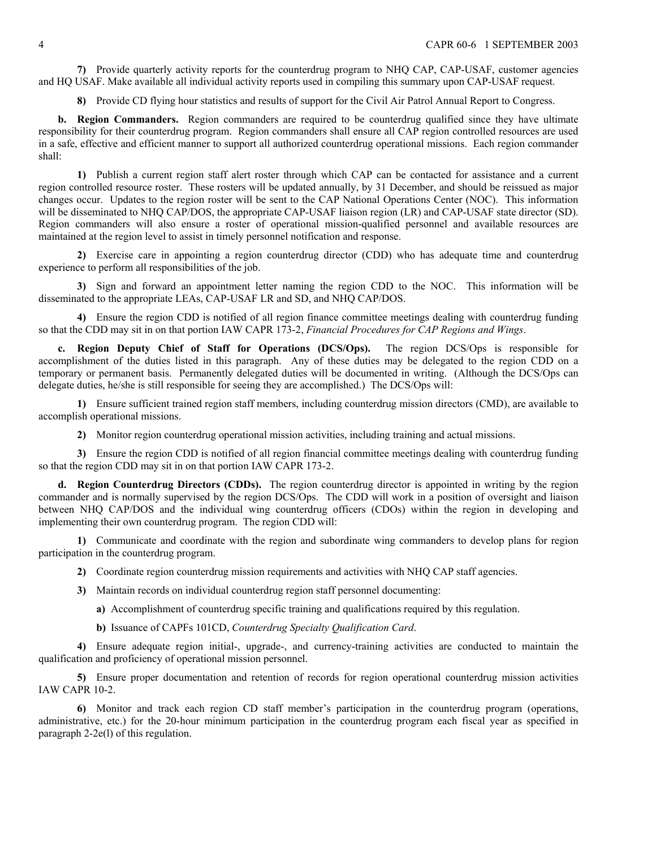**7)** Provide quarterly activity reports for the counterdrug program to NHQ CAP, CAP-USAF, customer agencies and HQ USAF. Make available all individual activity reports used in compiling this summary upon CAP-USAF request.

**8)** Provide CD flying hour statistics and results of support for the Civil Air Patrol Annual Report to Congress.

**b.** Region Commanders. Region commanders are required to be counterdrug qualified since they have ultimate responsibility for their counterdrug program. Region commanders shall ensure all CAP region controlled resources are used in a safe, effective and efficient manner to support all authorized counterdrug operational missions. Each region commander shall:

**1)** Publish a current region staff alert roster through which CAP can be contacted for assistance and a current region controlled resource roster. These rosters will be updated annually, by 31 December, and should be reissued as major changes occur. Updates to the region roster will be sent to the CAP National Operations Center (NOC). This information will be disseminated to NHQ CAP/DOS, the appropriate CAP-USAF liaison region (LR) and CAP-USAF state director (SD). Region commanders will also ensure a roster of operational mission-qualified personnel and available resources are maintained at the region level to assist in timely personnel notification and response.

**2)** Exercise care in appointing a region counterdrug director (CDD) who has adequate time and counterdrug experience to perform all responsibilities of the job.

**3)** Sign and forward an appointment letter naming the region CDD to the NOC. This information will be disseminated to the appropriate LEAs, CAP-USAF LR and SD, and NHQ CAP/DOS.

**4)** Ensure the region CDD is notified of all region finance committee meetings dealing with counterdrug funding so that the CDD may sit in on that portion IAW CAPR 173-2, *Financial Procedures for CAP Regions and Wings*.

**c. Region Deputy Chief of Staff for Operations (DCS/Ops).** The region DCS/Ops is responsible for accomplishment of the duties listed in this paragraph. Any of these duties may be delegated to the region CDD on a temporary or permanent basis. Permanently delegated duties will be documented in writing. (Although the DCS/Ops can delegate duties, he/she is still responsible for seeing they are accomplished.) The DCS/Ops will:

**1)** Ensure sufficient trained region staff members, including counterdrug mission directors (CMD), are available to accomplish operational missions.

**2)** Monitor region counterdrug operational mission activities, including training and actual missions.

**3)** Ensure the region CDD is notified of all region financial committee meetings dealing with counterdrug funding so that the region CDD may sit in on that portion IAW CAPR 173-2.

**d. Region Counterdrug Directors (CDDs).** The region counterdrug director is appointed in writing by the region commander and is normally supervised by the region DCS/Ops. The CDD will work in a position of oversight and liaison between NHQ CAP/DOS and the individual wing counterdrug officers (CDOs) within the region in developing and implementing their own counterdrug program. The region CDD will:

**1)** Communicate and coordinate with the region and subordinate wing commanders to develop plans for region participation in the counterdrug program.

**2)** Coordinate region counterdrug mission requirements and activities with NHQ CAP staff agencies.

**3)** Maintain records on individual counterdrug region staff personnel documenting:

**a)** Accomplishment of counterdrug specific training and qualifications required by this regulation.

**b)** Issuance of CAPFs 101CD, *Counterdrug Specialty Qualification Card*.

**4)** Ensure adequate region initial-, upgrade-, and currency-training activities are conducted to maintain the qualification and proficiency of operational mission personnel.

**5)** Ensure proper documentation and retention of records for region operational counterdrug mission activities IAW CAPR 10-2.

**6)** Monitor and track each region CD staff member's participation in the counterdrug program (operations, administrative, etc.) for the 20-hour minimum participation in the counterdrug program each fiscal year as specified in paragraph 2-2e(l) of this regulation.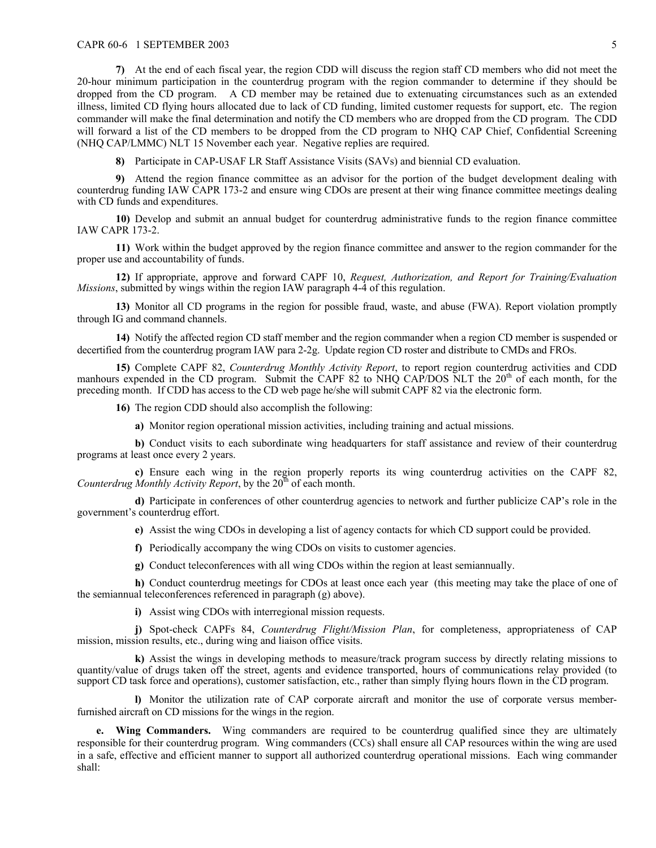**7)** At the end of each fiscal year, the region CDD will discuss the region staff CD members who did not meet the 20-hour minimum participation in the counterdrug program with the region commander to determine if they should be dropped from the CD program. A CD member may be retained due to extenuating circumstances such as an extended illness, limited CD flying hours allocated due to lack of CD funding, limited customer requests for support, etc. The region commander will make the final determination and notify the CD members who are dropped from the CD program. The CDD will forward a list of the CD members to be dropped from the CD program to NHQ CAP Chief, Confidential Screening (NHQ CAP/LMMC) NLT 15 November each year. Negative replies are required.

**8)** Participate in CAP-USAF LR Staff Assistance Visits (SAVs) and biennial CD evaluation.

**9)** Attend the region finance committee as an advisor for the portion of the budget development dealing with counterdrug funding IAW CAPR 173-2 and ensure wing CDOs are present at their wing finance committee meetings dealing with CD funds and expenditures.

**10)** Develop and submit an annual budget for counterdrug administrative funds to the region finance committee IAW CAPR 173-2.

**11)** Work within the budget approved by the region finance committee and answer to the region commander for the proper use and accountability of funds.

**12)** If appropriate, approve and forward CAPF 10, *Request, Authorization, and Report for Training/Evaluation Missions*, submitted by wings within the region IAW paragraph 4-4 of this regulation.

**13)** Monitor all CD programs in the region for possible fraud, waste, and abuse (FWA). Report violation promptly through IG and command channels.

**14)** Notify the affected region CD staff member and the region commander when a region CD member is suspended or decertified from the counterdrug program IAW para 2-2g. Update region CD roster and distribute to CMDs and FROs.

**15)** Complete CAPF 82, *Counterdrug Monthly Activity Report*, to report region counterdrug activities and CDD manhours expended in the CD program. Submit the CAPF  $82$  to NHQ CAP/DOS NLT the  $20<sup>th</sup>$  of each month, for the preceding month. If CDD has access to the CD web page he/she will submit CAPF 82 via the electronic form.

**16)** The region CDD should also accomplish the following:

**a)** Monitor region operational mission activities, including training and actual missions.

**b)** Conduct visits to each subordinate wing headquarters for staff assistance and review of their counterdrug programs at least once every 2 years.

**c)** Ensure each wing in the region properly reports its wing counterdrug activities on the CAPF 82, *Counterdrug Monthly Activity Report*, by the  $20<sup>th</sup>$  of each month.

**d)** Participate in conferences of other counterdrug agencies to network and further publicize CAP's role in the government's counterdrug effort.

**e)** Assist the wing CDOs in developing a list of agency contacts for which CD support could be provided.

**f)** Periodically accompany the wing CDOs on visits to customer agencies.

**g)** Conduct teleconferences with all wing CDOs within the region at least semiannually.

**h)** Conduct counterdrug meetings for CDOs at least once each year (this meeting may take the place of one of the semiannual teleconferences referenced in paragraph (g) above).

**i)** Assist wing CDOs with interregional mission requests.

**j)** Spot-check CAPFs 84, *Counterdrug Flight/Mission Plan*, for completeness, appropriateness of CAP mission, mission results, etc., during wing and liaison office visits.

**k)** Assist the wings in developing methods to measure/track program success by directly relating missions to quantity/value of drugs taken off the street, agents and evidence transported, hours of communications relay provided (to support CD task force and operations), customer satisfaction, etc., rather than simply flying hours flown in the CD program.

**l)** Monitor the utilization rate of CAP corporate aircraft and monitor the use of corporate versus memberfurnished aircraft on CD missions for the wings in the region.

**e. Wing Commanders.** Wing commanders are required to be counterdrug qualified since they are ultimately responsible for their counterdrug program. Wing commanders (CCs) shall ensure all CAP resources within the wing are used in a safe, effective and efficient manner to support all authorized counterdrug operational missions. Each wing commander shall: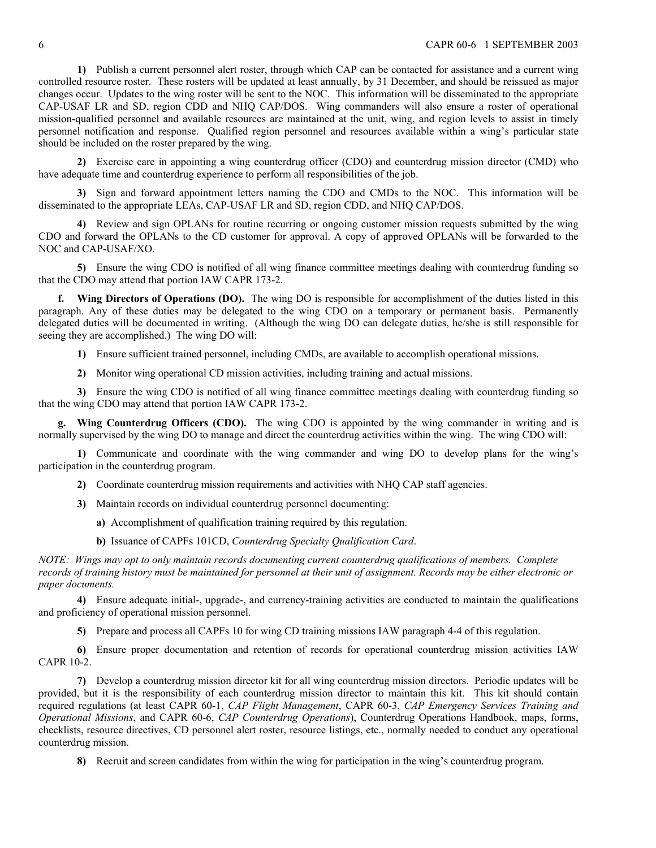**1)** Publish a current personnel alert roster, through which CAP can be contacted for assistance and a current wing controlled resource roster. These rosters will be updated at least annually, by 31 December, and should be reissued as major changes occur. Updates to the wing roster will be sent to the NOC. This information will be disseminated to the appropriate CAP-USAF LR and SD, region CDD and NHQ CAP/DOS. Wing commanders will also ensure a roster of operational mission-qualified personnel and available resources are maintained at the unit, wing, and region levels to assist in timely personnel notification and response. Qualified region personnel and resources available within a wing's particular state should be included on the roster prepared by the wing.

**2)** Exercise care in appointing a wing counterdrug officer (CDO) and counterdrug mission director (CMD) who have adequate time and counterdrug experience to perform all responsibilities of the job.

**3)** Sign and forward appointment letters naming the CDO and CMDs to the NOC. This information will be disseminated to the appropriate LEAs, CAP-USAF LR and SD, region CDD, and NHQ CAP/DOS.

**4)** Review and sign OPLANs for routine recurring or ongoing customer mission requests submitted by the wing CDO and forward the OPLANs to the CD customer for approval. A copy of approved OPLANs will be forwarded to the NOC and CAP-USAF/XO.

**5)** Ensure the wing CDO is notified of all wing finance committee meetings dealing with counterdrug funding so that the CDO may attend that portion IAW CAPR 173-2.

**f. Wing Directors of Operations (DO).** The wing DO is responsible for accomplishment of the duties listed in this paragraph. Any of these duties may be delegated to the wing CDO on a temporary or permanent basis. Permanently delegated duties will be documented in writing. (Although the wing DO can delegate duties, he/she is still responsible for seeing they are accomplished.) The wing DO will:

**1)** Ensure sufficient trained personnel, including CMDs, are available to accomplish operational missions.

**2)** Monitor wing operational CD mission activities, including training and actual missions.

**3)** Ensure the wing CDO is notified of all wing finance committee meetings dealing with counterdrug funding so that the wing CDO may attend that portion IAW CAPR 173-2.

**g. Wing Counterdrug Officers (CDO).** The wing CDO is appointed by the wing commander in writing and is normally supervised by the wing DO to manage and direct the counterdrug activities within the wing. The wing CDO will:

**1)** Communicate and coordinate with the wing commander and wing DO to develop plans for the wing's participation in the counterdrug program.

**2)** Coordinate counterdrug mission requirements and activities with NHQ CAP staff agencies.

- **3)** Maintain records on individual counterdrug personnel documenting:
	- **a)** Accomplishment of qualification training required by this regulation.
	- **b)** Issuance of CAPFs 101CD, *Counterdrug Specialty Qualification Card*.

*NOTE: Wings may opt to only maintain records documenting current counterdrug qualifications of members. Complete records of training history must be maintained for personnel at their unit of assignment. Records may be either electronic or paper documents.* 

**4)** Ensure adequate initial-, upgrade-, and currency-training activities are conducted to maintain the qualifications and proficiency of operational mission personnel.

**5)** Prepare and process all CAPFs 10 for wing CD training missions IAW paragraph 4-4 of this regulation.

**6)** Ensure proper documentation and retention of records for operational counterdrug mission activities IAW CAPR 10-2.

**7)** Develop a counterdrug mission director kit for all wing counterdrug mission directors. Periodic updates will be provided, but it is the responsibility of each counterdrug mission director to maintain this kit. This kit should contain required regulations (at least CAPR 60-1, *CAP Flight Management*, CAPR 60-3, *CAP Emergency Services Training and Operational Missions*, and CAPR 60-6, *CAP Counterdrug Operations*), Counterdrug Operations Handbook, maps, forms, checklists, resource directives, CD personnel alert roster, resource listings, etc., normally needed to conduct any operational counterdrug mission.

**8)** Recruit and screen candidates from within the wing for participation in the wing's counterdrug program.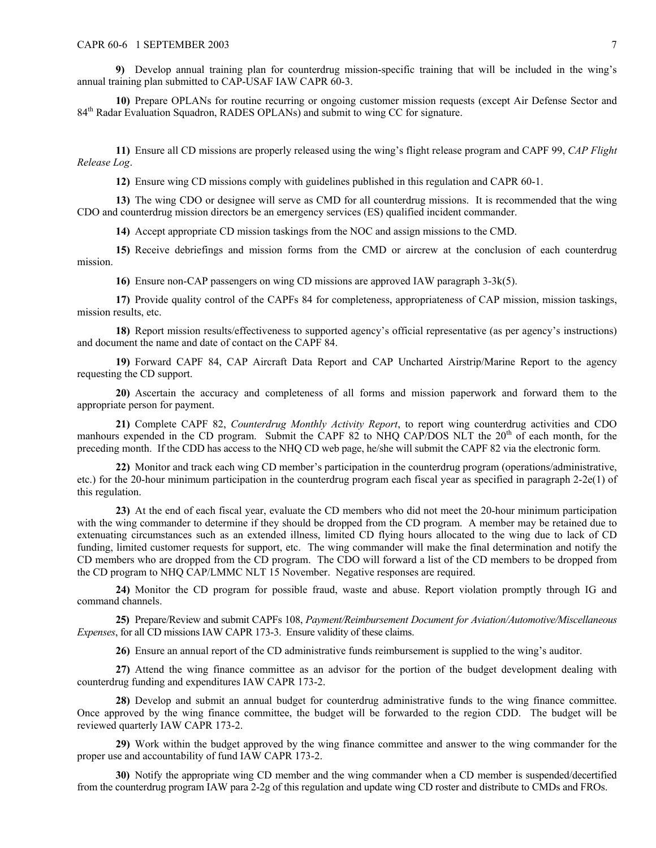**9)** Develop annual training plan for counterdrug mission-specific training that will be included in the wing's annual training plan submitted to CAP-USAF IAW CAPR 60-3.

**10)** Prepare OPLANs for routine recurring or ongoing customer mission requests (except Air Defense Sector and 84<sup>th</sup> Radar Evaluation Squadron, RADES OPLANs) and submit to wing CC for signature.

**11)** Ensure all CD missions are properly released using the wing's flight release program and CAPF 99, *CAP Flight Release Log*.

**12)** Ensure wing CD missions comply with guidelines published in this regulation and CAPR 60-1.

**13)** The wing CDO or designee will serve as CMD for all counterdrug missions. It is recommended that the wing CDO and counterdrug mission directors be an emergency services (ES) qualified incident commander.

**14)** Accept appropriate CD mission taskings from the NOC and assign missions to the CMD.

**15)** Receive debriefings and mission forms from the CMD or aircrew at the conclusion of each counterdrug mission.

**16)** Ensure non-CAP passengers on wing CD missions are approved IAW paragraph 3-3k(5).

**17)** Provide quality control of the CAPFs 84 for completeness, appropriateness of CAP mission, mission taskings, mission results, etc.

**18)** Report mission results/effectiveness to supported agency's official representative (as per agency's instructions) and document the name and date of contact on the CAPF 84.

**19)** Forward CAPF 84, CAP Aircraft Data Report and CAP Uncharted Airstrip/Marine Report to the agency requesting the CD support.

**20)** Ascertain the accuracy and completeness of all forms and mission paperwork and forward them to the appropriate person for payment.

**21)** Complete CAPF 82, *Counterdrug Monthly Activity Report*, to report wing counterdrug activities and CDO manhours expended in the CD program. Submit the CAPF 82 to NHQ CAP/DOS NLT the 20<sup>th</sup> of each month, for the preceding month. If the CDD has access to the NHQ CD web page, he/she will submit the CAPF 82 via the electronic form.

**22)** Monitor and track each wing CD member's participation in the counterdrug program (operations/administrative, etc.) for the 20-hour minimum participation in the counterdrug program each fiscal year as specified in paragraph 2-2e(1) of this regulation.

**23)** At the end of each fiscal year, evaluate the CD members who did not meet the 20-hour minimum participation with the wing commander to determine if they should be dropped from the CD program. A member may be retained due to extenuating circumstances such as an extended illness, limited CD flying hours allocated to the wing due to lack of CD funding, limited customer requests for support, etc. The wing commander will make the final determination and notify the CD members who are dropped from the CD program. The CDO will forward a list of the CD members to be dropped from the CD program to NHQ CAP/LMMC NLT 15 November. Negative responses are required.

**24)** Monitor the CD program for possible fraud, waste and abuse. Report violation promptly through IG and command channels.

**25)** Prepare/Review and submit CAPFs 108, *Payment/Reimbursement Document for Aviation/Automotive/Miscellaneous Expenses*, for all CD missions IAW CAPR 173-3. Ensure validity of these claims.

**26)** Ensure an annual report of the CD administrative funds reimbursement is supplied to the wing's auditor.

**27)** Attend the wing finance committee as an advisor for the portion of the budget development dealing with counterdrug funding and expenditures IAW CAPR 173-2.

**28)** Develop and submit an annual budget for counterdrug administrative funds to the wing finance committee. Once approved by the wing finance committee, the budget will be forwarded to the region CDD. The budget will be reviewed quarterly IAW CAPR 173-2.

**29)** Work within the budget approved by the wing finance committee and answer to the wing commander for the proper use and accountability of fund IAW CAPR 173-2.

**30)** Notify the appropriate wing CD member and the wing commander when a CD member is suspended/decertified from the counterdrug program IAW para 2-2g of this regulation and update wing CD roster and distribute to CMDs and FROs.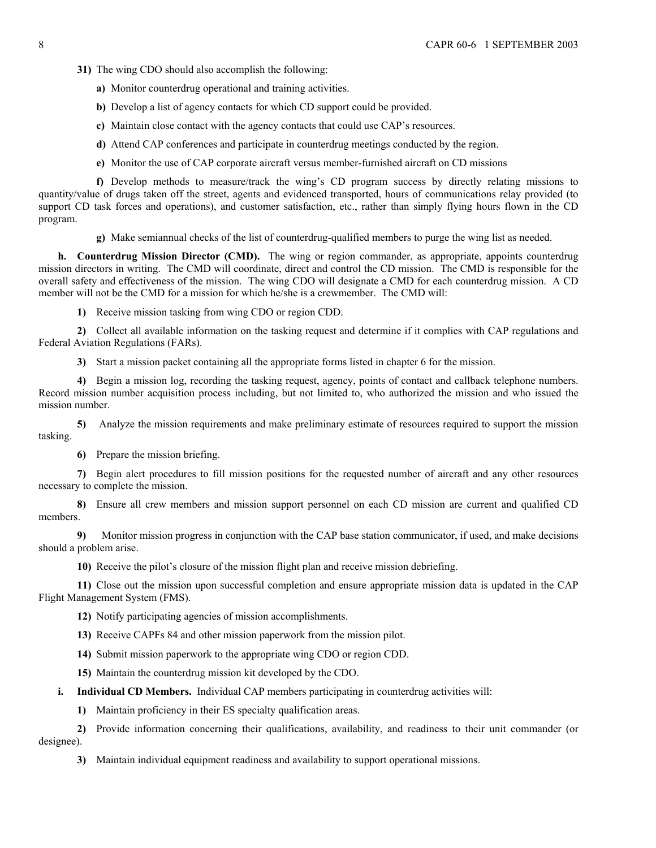- **31)** The wing CDO should also accomplish the following:
	- **a)** Monitor counterdrug operational and training activities.
	- **b)** Develop a list of agency contacts for which CD support could be provided.
	- **c)** Maintain close contact with the agency contacts that could use CAP's resources.
	- **d)** Attend CAP conferences and participate in counterdrug meetings conducted by the region.
	- **e)** Monitor the use of CAP corporate aircraft versus member-furnished aircraft on CD missions

**f)** Develop methods to measure/track the wing's CD program success by directly relating missions to quantity/value of drugs taken off the street, agents and evidenced transported, hours of communications relay provided (to support CD task forces and operations), and customer satisfaction, etc., rather than simply flying hours flown in the CD program.

**g)** Make semiannual checks of the list of counterdrug-qualified members to purge the wing list as needed.

**h. Counterdrug Mission Director (CMD).** The wing or region commander, as appropriate, appoints counterdrug mission directors in writing. The CMD will coordinate, direct and control the CD mission. The CMD is responsible for the overall safety and effectiveness of the mission. The wing CDO will designate a CMD for each counterdrug mission. A CD member will not be the CMD for a mission for which he/she is a crewmember. The CMD will:

**1)** Receive mission tasking from wing CDO or region CDD.

**2)** Collect all available information on the tasking request and determine if it complies with CAP regulations and Federal Aviation Regulations (FARs).

**3)** Start a mission packet containing all the appropriate forms listed in chapter 6 for the mission.

**4)** Begin a mission log, recording the tasking request, agency, points of contact and callback telephone numbers. Record mission number acquisition process including, but not limited to, who authorized the mission and who issued the mission number.

**5)** Analyze the mission requirements and make preliminary estimate of resources required to support the mission tasking.

**6)** Prepare the mission briefing.

**7)** Begin alert procedures to fill mission positions for the requested number of aircraft and any other resources necessary to complete the mission.

**8)** Ensure all crew members and mission support personnel on each CD mission are current and qualified CD members.

**9)** Monitor mission progress in conjunction with the CAP base station communicator, if used, and make decisions should a problem arise.

**10)** Receive the pilot's closure of the mission flight plan and receive mission debriefing.

**11)** Close out the mission upon successful completion and ensure appropriate mission data is updated in the CAP Flight Management System (FMS).

**12)** Notify participating agencies of mission accomplishments.

**13)** Receive CAPFs 84 and other mission paperwork from the mission pilot.

**14)** Submit mission paperwork to the appropriate wing CDO or region CDD.

**15)** Maintain the counterdrug mission kit developed by the CDO.

**i. Individual CD Members.** Individual CAP members participating in counterdrug activities will:

**1)** Maintain proficiency in their ES specialty qualification areas.

**2)** Provide information concerning their qualifications, availability, and readiness to their unit commander (or designee).

**3)** Maintain individual equipment readiness and availability to support operational missions.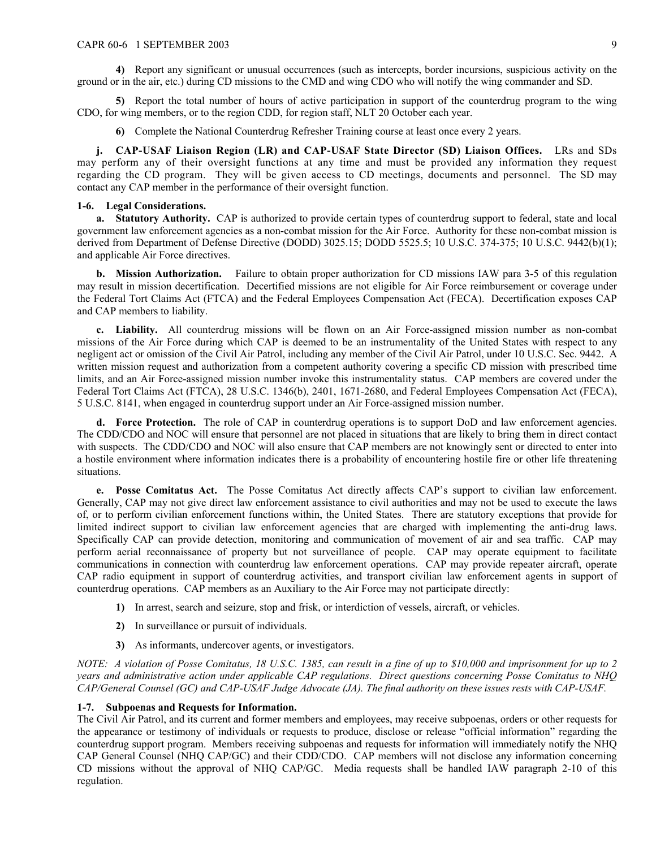**4)** Report any significant or unusual occurrences (such as intercepts, border incursions, suspicious activity on the ground or in the air, etc.) during CD missions to the CMD and wing CDO who will notify the wing commander and SD.

**5)** Report the total number of hours of active participation in support of the counterdrug program to the wing CDO, for wing members, or to the region CDD, for region staff, NLT 20 October each year.

**6)** Complete the National Counterdrug Refresher Training course at least once every 2 years.

**j. CAP-USAF Liaison Region (LR) and CAP-USAF State Director (SD) Liaison Offices.** LRs and SDs may perform any of their oversight functions at any time and must be provided any information they request regarding the CD program. They will be given access to CD meetings, documents and personnel. The SD may contact any CAP member in the performance of their oversight function.

## <span id="page-8-0"></span>**1-6. Legal Considerations.**

**a. Statutory Authority.** CAP is authorized to provide certain types of counterdrug support to federal, state and local government law enforcement agencies as a non-combat mission for the Air Force. Authority for these non-combat mission is derived from Department of Defense Directive (DODD) 3025.15; DODD 5525.5; 10 U.S.C. 374-375; 10 U.S.C. 9442(b)(1); and applicable Air Force directives.

**b. Mission Authorization.** Failure to obtain proper authorization for CD missions IAW para 3-5 of this regulation may result in mission decertification. Decertified missions are not eligible for Air Force reimbursement or coverage under the Federal Tort Claims Act (FTCA) and the Federal Employees Compensation Act (FECA). Decertification exposes CAP and CAP members to liability.

**c. Liability.** All counterdrug missions will be flown on an Air Force-assigned mission number as non-combat missions of the Air Force during which CAP is deemed to be an instrumentality of the United States with respect to any negligent act or omission of the Civil Air Patrol, including any member of the Civil Air Patrol, under 10 U.S.C. Sec. 9442. A written mission request and authorization from a competent authority covering a specific CD mission with prescribed time limits, and an Air Force-assigned mission number invoke this instrumentality status. CAP members are covered under the Federal Tort Claims Act (FTCA), 28 U.S.C. 1346(b), 2401, 1671-2680, and Federal Employees Compensation Act (FECA), 5 U.S.C. 8141, when engaged in counterdrug support under an Air Force-assigned mission number.

**d. Force Protection.** The role of CAP in counterdrug operations is to support DoD and law enforcement agencies. The CDD/CDO and NOC will ensure that personnel are not placed in situations that are likely to bring them in direct contact with suspects. The CDD/CDO and NOC will also ensure that CAP members are not knowingly sent or directed to enter into a hostile environment where information indicates there is a probability of encountering hostile fire or other life threatening situations.

**e.** Posse Comitatus Act. The Posse Comitatus Act directly affects CAP's support to civilian law enforcement. Generally, CAP may not give direct law enforcement assistance to civil authorities and may not be used to execute the laws of, or to perform civilian enforcement functions within, the United States. There are statutory exceptions that provide for limited indirect support to civilian law enforcement agencies that are charged with implementing the anti-drug laws. Specifically CAP can provide detection, monitoring and communication of movement of air and sea traffic. CAP may perform aerial reconnaissance of property but not surveillance of people. CAP may operate equipment to facilitate communications in connection with counterdrug law enforcement operations. CAP may provide repeater aircraft, operate CAP radio equipment in support of counterdrug activities, and transport civilian law enforcement agents in support of counterdrug operations. CAP members as an Auxiliary to the Air Force may not participate directly:

- **1)** In arrest, search and seizure, stop and frisk, or interdiction of vessels, aircraft, or vehicles.
- **2)** In surveillance or pursuit of individuals.
- **3)** As informants, undercover agents, or investigators.

*NOTE: A violation of Posse Comitatus, 18 U.S.C. 1385, can result in a fine of up to \$10,000 and imprisonment for up to 2 years and administrative action under applicable CAP regulations. Direct questions concerning Posse Comitatus to NHQ CAP/General Counsel (GC) and CAP-USAF Judge Advocate (JA). The final authority on these issues rests with CAP-USAF.* 

### <span id="page-8-1"></span>**1-7. Subpoenas and Requests for Information.**

The Civil Air Patrol, and its current and former members and employees, may receive subpoenas, orders or other requests for the appearance or testimony of individuals or requests to produce, disclose or release "official information" regarding the counterdrug support program. Members receiving subpoenas and requests for information will immediately notify the NHQ CAP General Counsel (NHQ CAP/GC) and their CDD/CDO. CAP members will not disclose any information concerning CD missions without the approval of NHQ CAP/GC. Media requests shall be handled IAW paragraph 2-10 of this regulation.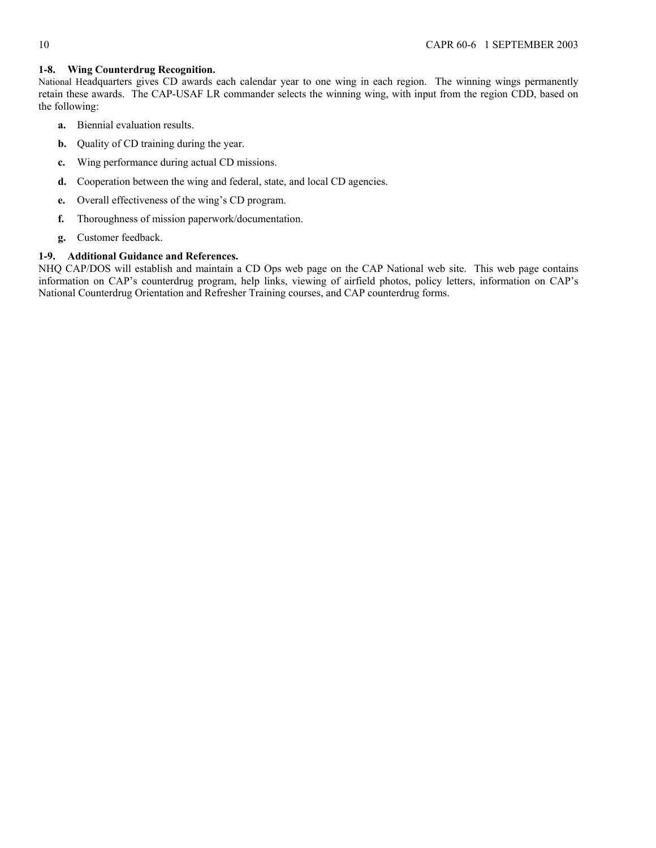# <span id="page-9-0"></span>**1-8. Wing Counterdrug Recognition.**

National Headquarters gives CD awards each calendar year to one wing in each region. The winning wings permanently retain these awards. The CAP-USAF LR commander selects the winning wing, with input from the region CDD, based on the following:

- **a.** Biennial evaluation results.
- **b.** Quality of CD training during the year.
- **c.** Wing performance during actual CD missions.
- **d.** Cooperation between the wing and federal, state, and local CD agencies.
- **e.** Overall effectiveness of the wing's CD program.
- **f.** Thoroughness of mission paperwork/documentation.
- **g.** Customer feedback.

# <span id="page-9-1"></span>**1-9. Additional Guidance and References.**

NHQ CAP/DOS will establish and maintain a CD Ops web page on the CAP National web site. This web page contains information on CAP's counterdrug program, help links, viewing of airfield photos, policy letters, information on CAP's National Counterdrug Orientation and Refresher Training courses, and CAP counterdrug forms.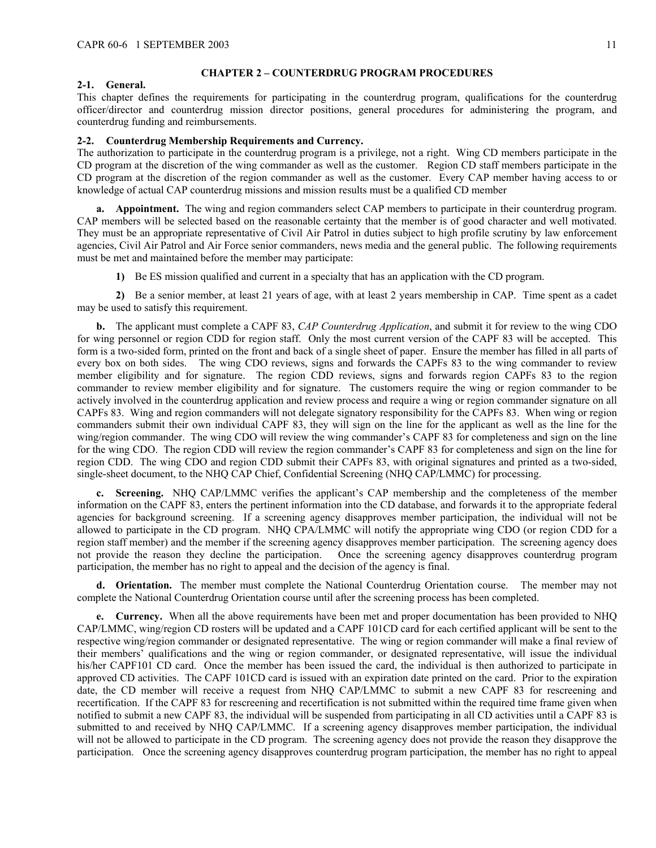### <span id="page-10-0"></span>**CHAPTER 2 – COUNTERDRUG PROGRAM PROCEDURES**

#### <span id="page-10-1"></span>**2-1. General.**

This chapter defines the requirements for participating in the counterdrug program, qualifications for the counterdrug officer/director and counterdrug mission director positions, general procedures for administering the program, and counterdrug funding and reimbursements.

# <span id="page-10-2"></span>**2-2. Counterdrug Membership Requirements and Currency.**

The authorization to participate in the counterdrug program is a privilege, not a right. Wing CD members participate in the CD program at the discretion of the wing commander as well as the customer. Region CD staff members participate in the CD program at the discretion of the region commander as well as the customer. Every CAP member having access to or knowledge of actual CAP counterdrug missions and mission results must be a qualified CD member

**a. Appointment.** The wing and region commanders select CAP members to participate in their counterdrug program. CAP members will be selected based on the reasonable certainty that the member is of good character and well motivated. They must be an appropriate representative of Civil Air Patrol in duties subject to high profile scrutiny by law enforcement agencies, Civil Air Patrol and Air Force senior commanders, news media and the general public. The following requirements must be met and maintained before the member may participate:

**1)** Be ES mission qualified and current in a specialty that has an application with the CD program.

**2)** Be a senior member, at least 21 years of age, with at least 2 years membership in CAP. Time spent as a cadet may be used to satisfy this requirement.

**b.** The applicant must complete a CAPF 83, *CAP Counterdrug Application*, and submit it for review to the wing CDO for wing personnel or region CDD for region staff. Only the most current version of the CAPF 83 will be accepted. This form is a two-sided form, printed on the front and back of a single sheet of paper. Ensure the member has filled in all parts of every box on both sides. The wing CDO reviews, signs and forwards the CAPFs 83 to the wing commander to review member eligibility and for signature. The region CDD reviews, signs and forwards region CAPFs 83 to the region commander to review member eligibility and for signature. The customers require the wing or region commander to be actively involved in the counterdrug application and review process and require a wing or region commander signature on all CAPFs 83. Wing and region commanders will not delegate signatory responsibility for the CAPFs 83. When wing or region commanders submit their own individual CAPF 83, they will sign on the line for the applicant as well as the line for the wing/region commander. The wing CDO will review the wing commander's CAPF 83 for completeness and sign on the line for the wing CDO. The region CDD will review the region commander's CAPF 83 for completeness and sign on the line for region CDD. The wing CDO and region CDD submit their CAPFs 83, with original signatures and printed as a two-sided, single-sheet document, to the NHQ CAP Chief, Confidential Screening (NHQ CAP/LMMC) for processing.

**c. Screening.** NHQ CAP/LMMC verifies the applicant's CAP membership and the completeness of the member information on the CAPF 83, enters the pertinent information into the CD database, and forwards it to the appropriate federal agencies for background screening. If a screening agency disapproves member participation, the individual will not be allowed to participate in the CD program. NHQ CPA/LMMC will notify the appropriate wing CDO (or region CDD for a region staff member) and the member if the screening agency disapproves member participation. The screening agency does not provide the reason they decline the participation. Once the screening agency disapproves counterdrug program participation, the member has no right to appeal and the decision of the agency is final.

**d. Orientation.** The member must complete the National Counterdrug Orientation course. The member may not complete the National Counterdrug Orientation course until after the screening process has been completed.

**e. Currency.** When all the above requirements have been met and proper documentation has been provided to NHQ CAP/LMMC, wing/region CD rosters will be updated and a CAPF 101CD card for each certified applicant will be sent to the respective wing/region commander or designated representative. The wing or region commander will make a final review of their members' qualifications and the wing or region commander, or designated representative, will issue the individual his/her CAPF101 CD card. Once the member has been issued the card, the individual is then authorized to participate in approved CD activities. The CAPF 101CD card is issued with an expiration date printed on the card. Prior to the expiration date, the CD member will receive a request from NHQ CAP/LMMC to submit a new CAPF 83 for rescreening and recertification. If the CAPF 83 for rescreening and recertification is not submitted within the required time frame given when notified to submit a new CAPF 83, the individual will be suspended from participating in all CD activities until a CAPF 83 is submitted to and received by NHQ CAP/LMMC. If a screening agency disapproves member participation, the individual will not be allowed to participate in the CD program. The screening agency does not provide the reason they disapprove the participation. Once the screening agency disapproves counterdrug program participation, the member has no right to appeal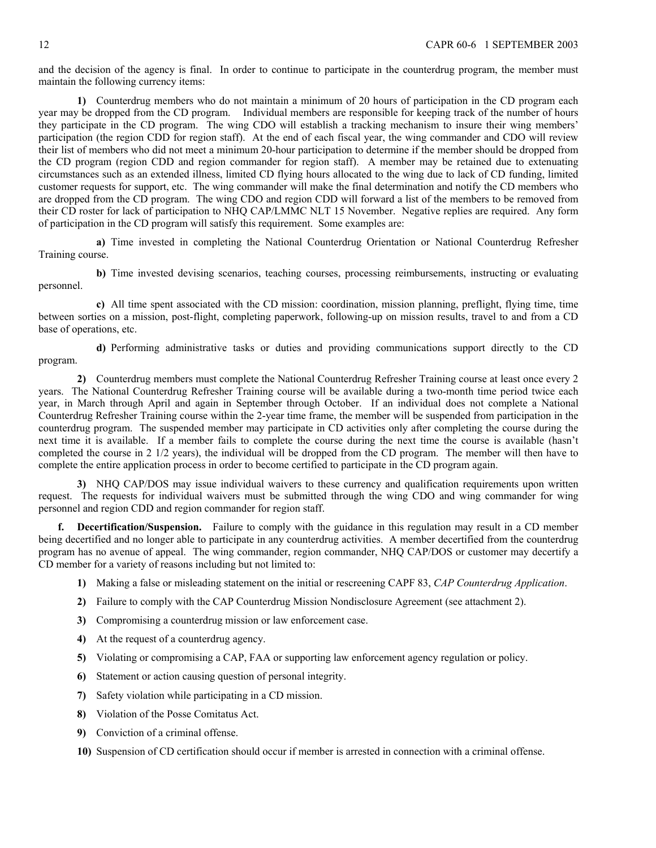and the decision of the agency is final. In order to continue to participate in the counterdrug program, the member must maintain the following currency items:

**1)** Counterdrug members who do not maintain a minimum of 20 hours of participation in the CD program each year may be dropped from the CD program. Individual members are responsible for keeping track of the number of hours they participate in the CD program. The wing CDO will establish a tracking mechanism to insure their wing members' participation (the region CDD for region staff). At the end of each fiscal year, the wing commander and CDO will review their list of members who did not meet a minimum 20-hour participation to determine if the member should be dropped from the CD program (region CDD and region commander for region staff). A member may be retained due to extenuating circumstances such as an extended illness, limited CD flying hours allocated to the wing due to lack of CD funding, limited customer requests for support, etc. The wing commander will make the final determination and notify the CD members who are dropped from the CD program. The wing CDO and region CDD will forward a list of the members to be removed from their CD roster for lack of participation to NHQ CAP/LMMC NLT 15 November. Negative replies are required. Any form of participation in the CD program will satisfy this requirement. Some examples are:

**a)** Time invested in completing the National Counterdrug Orientation or National Counterdrug Refresher Training course.

**b)** Time invested devising scenarios, teaching courses, processing reimbursements, instructing or evaluating personnel.

**c)** All time spent associated with the CD mission: coordination, mission planning, preflight, flying time, time between sorties on a mission, post-flight, completing paperwork, following-up on mission results, travel to and from a CD base of operations, etc.

**d)** Performing administrative tasks or duties and providing communications support directly to the CD program.

**2)** Counterdrug members must complete the National Counterdrug Refresher Training course at least once every 2 years. The National Counterdrug Refresher Training course will be available during a two-month time period twice each year, in March through April and again in September through October. If an individual does not complete a National Counterdrug Refresher Training course within the 2-year time frame, the member will be suspended from participation in the counterdrug program. The suspended member may participate in CD activities only after completing the course during the next time it is available. If a member fails to complete the course during the next time the course is available (hasn't completed the course in 2 1/2 years), the individual will be dropped from the CD program. The member will then have to complete the entire application process in order to become certified to participate in the CD program again.

**3)** NHQ CAP/DOS may issue individual waivers to these currency and qualification requirements upon written request. The requests for individual waivers must be submitted through the wing CDO and wing commander for wing personnel and region CDD and region commander for region staff.

**f. Decertification/Suspension.** Failure to comply with the guidance in this regulation may result in a CD member being decertified and no longer able to participate in any counterdrug activities. A member decertified from the counterdrug program has no avenue of appeal. The wing commander, region commander, NHQ CAP/DOS or customer may decertify a CD member for a variety of reasons including but not limited to:

- **1)** Making a false or misleading statement on the initial or rescreening CAPF 83, *CAP Counterdrug Application*.
- **2)** Failure to comply with the CAP Counterdrug Mission Nondisclosure Agreement (see attachment 2).
- **3)** Compromising a counterdrug mission or law enforcement case.
- **4)** At the request of a counterdrug agency.
- **5)** Violating or compromising a CAP, FAA or supporting law enforcement agency regulation or policy.
- **6)** Statement or action causing question of personal integrity.
- **7)** Safety violation while participating in a CD mission.
- **8)** Violation of the Posse Comitatus Act.
- **9)** Conviction of a criminal offense.
- **10)** Suspension of CD certification should occur if member is arrested in connection with a criminal offense.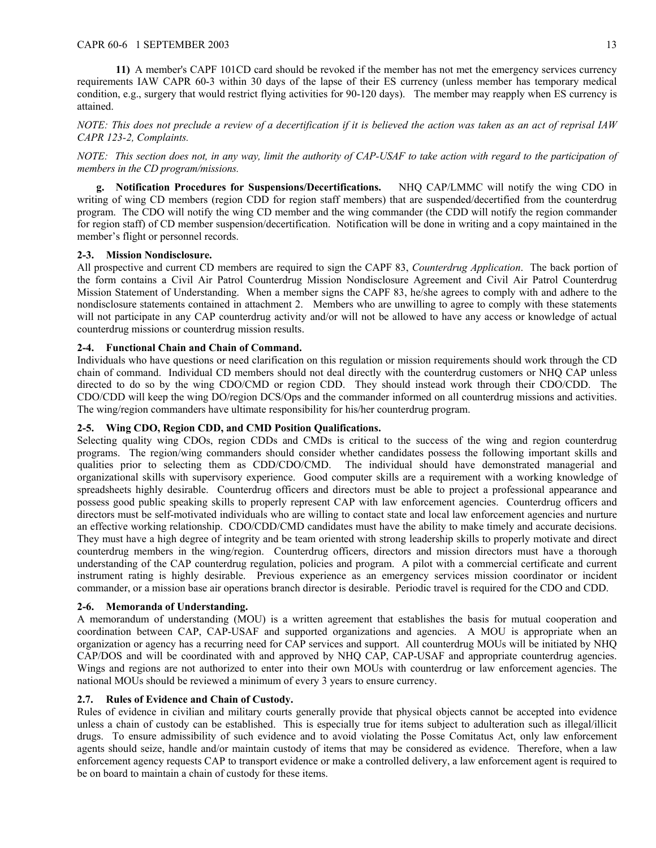### CAPR 60-6 1 SEPTEMBER 2003 13

**11)** A member's CAPF 101CD card should be revoked if the member has not met the emergency services currency requirements IAW CAPR 60-3 within 30 days of the lapse of their ES currency (unless member has temporary medical condition, e.g., surgery that would restrict flying activities for 90-120 days). The member may reapply when ES currency is attained.

*NOTE: This does not preclude a review of a decertification if it is believed the action was taken as an act of reprisal IAW CAPR 123-2, Complaints.* 

*NOTE: This section does not, in any way, limit the authority of CAP-USAF to take action with regard to the participation of members in the CD program/missions.* 

**g. Notification Procedures for Suspensions/Decertifications.** NHQ CAP/LMMC will notify the wing CDO in writing of wing CD members (region CDD for region staff members) that are suspended/decertified from the counterdrug program. The CDO will notify the wing CD member and the wing commander (the CDD will notify the region commander for region staff) of CD member suspension/decertification. Notification will be done in writing and a copy maintained in the member's flight or personnel records.

## <span id="page-12-0"></span>**2-3. Mission Nondisclosure.**

All prospective and current CD members are required to sign the CAPF 83, *Counterdrug Application*. The back portion of the form contains a Civil Air Patrol Counterdrug Mission Nondisclosure Agreement and Civil Air Patrol Counterdrug Mission Statement of Understanding. When a member signs the CAPF 83, he/she agrees to comply with and adhere to the nondisclosure statements contained in attachment 2. Members who are unwilling to agree to comply with these statements will not participate in any CAP counterdrug activity and/or will not be allowed to have any access or knowledge of actual counterdrug missions or counterdrug mission results.

## <span id="page-12-1"></span>**2-4. Functional Chain and Chain of Command.**

Individuals who have questions or need clarification on this regulation or mission requirements should work through the CD chain of command. Individual CD members should not deal directly with the counterdrug customers or NHQ CAP unless directed to do so by the wing CDO/CMD or region CDD. They should instead work through their CDO/CDD. The CDO/CDD will keep the wing DO/region DCS/Ops and the commander informed on all counterdrug missions and activities. The wing/region commanders have ultimate responsibility for his/her counterdrug program.

### <span id="page-12-2"></span>**2-5. Wing CDO, Region CDD, and CMD Position Qualifications.**

Selecting quality wing CDOs, region CDDs and CMDs is critical to the success of the wing and region counterdrug programs. The region/wing commanders should consider whether candidates possess the following important skills and qualities prior to selecting them as CDD/CDO/CMD. The individual should have demonstrated managerial and organizational skills with supervisory experience. Good computer skills are a requirement with a working knowledge of spreadsheets highly desirable. Counterdrug officers and directors must be able to project a professional appearance and possess good public speaking skills to properly represent CAP with law enforcement agencies. Counterdrug officers and directors must be self-motivated individuals who are willing to contact state and local law enforcement agencies and nurture an effective working relationship. CDO/CDD/CMD candidates must have the ability to make timely and accurate decisions. They must have a high degree of integrity and be team oriented with strong leadership skills to properly motivate and direct counterdrug members in the wing/region. Counterdrug officers, directors and mission directors must have a thorough understanding of the CAP counterdrug regulation, policies and program. A pilot with a commercial certificate and current instrument rating is highly desirable. Previous experience as an emergency services mission coordinator or incident commander, or a mission base air operations branch director is desirable. Periodic travel is required for the CDO and CDD.

### <span id="page-12-3"></span>**2-6. Memoranda of Understanding.**

A memorandum of understanding (MOU) is a written agreement that establishes the basis for mutual cooperation and coordination between CAP, CAP-USAF and supported organizations and agencies. A MOU is appropriate when an organization or agency has a recurring need for CAP services and support. All counterdrug MOUs will be initiated by NHQ CAP/DOS and will be coordinated with and approved by NHQ CAP, CAP-USAF and appropriate counterdrug agencies. Wings and regions are not authorized to enter into their own MOUs with counterdrug or law enforcement agencies. The national MOUs should be reviewed a minimum of every 3 years to ensure currency.

### <span id="page-12-4"></span>**2.7. Rules of Evidence and Chain of Custody.**

Rules of evidence in civilian and military courts generally provide that physical objects cannot be accepted into evidence unless a chain of custody can be established. This is especially true for items subject to adulteration such as illegal/illicit drugs. To ensure admissibility of such evidence and to avoid violating the Posse Comitatus Act, only law enforcement agents should seize, handle and/or maintain custody of items that may be considered as evidence. Therefore, when a law enforcement agency requests CAP to transport evidence or make a controlled delivery, a law enforcement agent is required to be on board to maintain a chain of custody for these items.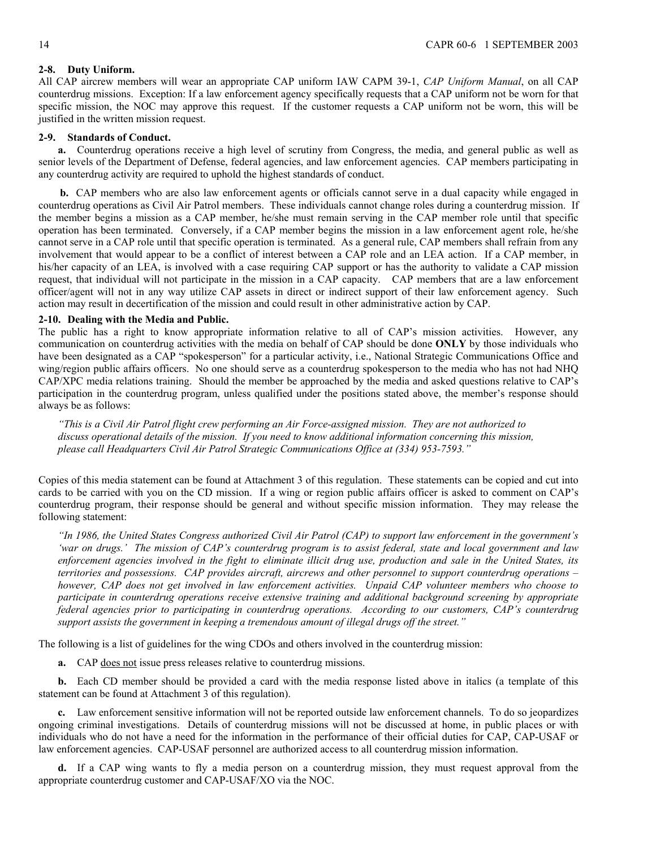## <span id="page-13-0"></span>**2-8. Duty Uniform.**

All CAP aircrew members will wear an appropriate CAP uniform IAW CAPM 39-1, *CAP Uniform Manual*, on all CAP counterdrug missions. Exception: If a law enforcement agency specifically requests that a CAP uniform not be worn for that specific mission, the NOC may approve this request. If the customer requests a CAP uniform not be worn, this will be justified in the written mission request.

### <span id="page-13-1"></span>**2-9. Standards of Conduct.**

**a.** Counterdrug operations receive a high level of scrutiny from Congress, the media, and general public as well as senior levels of the Department of Defense, federal agencies, and law enforcement agencies. CAP members participating in any counterdrug activity are required to uphold the highest standards of conduct.

**b.** CAP members who are also law enforcement agents or officials cannot serve in a dual capacity while engaged in counterdrug operations as Civil Air Patrol members. These individuals cannot change roles during a counterdrug mission. If the member begins a mission as a CAP member, he/she must remain serving in the CAP member role until that specific operation has been terminated. Conversely, if a CAP member begins the mission in a law enforcement agent role, he/she cannot serve in a CAP role until that specific operation is terminated. As a general rule, CAP members shall refrain from any involvement that would appear to be a conflict of interest between a CAP role and an LEA action. If a CAP member, in his/her capacity of an LEA, is involved with a case requiring CAP support or has the authority to validate a CAP mission request, that individual will not participate in the mission in a CAP capacity. CAP members that are a law enforcement officer/agent will not in any way utilize CAP assets in direct or indirect support of their law enforcement agency. Such action may result in decertification of the mission and could result in other administrative action by CAP.

### <span id="page-13-2"></span>**2-10. Dealing with the Media and Public.**

The public has a right to know appropriate information relative to all of CAP's mission activities. However, any communication on counterdrug activities with the media on behalf of CAP should be done **ONLY** by those individuals who have been designated as a CAP "spokesperson" for a particular activity, i.e., National Strategic Communications Office and wing/region public affairs officers. No one should serve as a counterdrug spokesperson to the media who has not had NHQ CAP/XPC media relations training. Should the member be approached by the media and asked questions relative to CAP's participation in the counterdrug program, unless qualified under the positions stated above, the member's response should always be as follows:

*"This is a Civil Air Patrol flight crew performing an Air Force-assigned mission. They are not authorized to discuss operational details of the mission. If you need to know additional information concerning this mission, please call Headquarters Civil Air Patrol Strategic Communications Office at (334) 953-7593."* 

Copies of this media statement can be found at Attachment 3 of this regulation. These statements can be copied and cut into cards to be carried with you on the CD mission. If a wing or region public affairs officer is asked to comment on CAP's counterdrug program, their response should be general and without specific mission information. They may release the following statement:

*"In 1986, the United States Congress authorized Civil Air Patrol (CAP) to support law enforcement in the government's 'war on drugs.' The mission of CAP's counterdrug program is to assist federal, state and local government and law enforcement agencies involved in the fight to eliminate illicit drug use, production and sale in the United States, its territories and possessions. CAP provides aircraft, aircrews and other personnel to support counterdrug operations – however, CAP does not get involved in law enforcement activities. Unpaid CAP volunteer members who choose to participate in counterdrug operations receive extensive training and additional background screening by appropriate federal agencies prior to participating in counterdrug operations. According to our customers, CAP's counterdrug support assists the government in keeping a tremendous amount of illegal drugs off the street."* 

The following is a list of guidelines for the wing CDOs and others involved in the counterdrug mission:

**a.** CAP does not issue press releases relative to counterdrug missions.

**b.** Each CD member should be provided a card with the media response listed above in italics (a template of this statement can be found at Attachment 3 of this regulation).

**c.** Law enforcement sensitive information will not be reported outside law enforcement channels. To do so jeopardizes ongoing criminal investigations. Details of counterdrug missions will not be discussed at home, in public places or with individuals who do not have a need for the information in the performance of their official duties for CAP, CAP-USAF or law enforcement agencies. CAP-USAF personnel are authorized access to all counterdrug mission information.

**d.** If a CAP wing wants to fly a media person on a counterdrug mission, they must request approval from the appropriate counterdrug customer and CAP-USAF/XO via the NOC.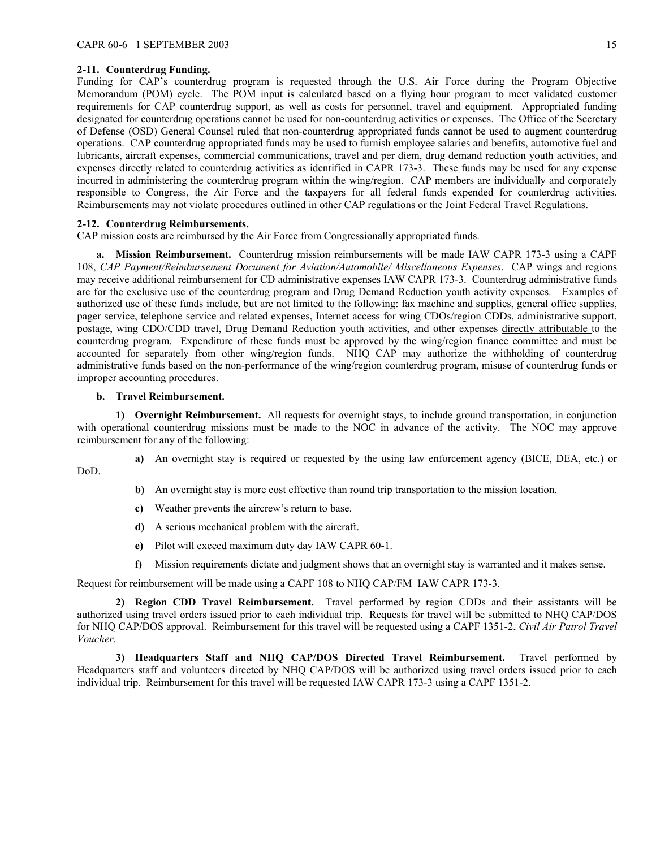# <span id="page-14-0"></span>**2-11. Counterdrug Funding.**

Funding for CAP's counterdrug program is requested through the U.S. Air Force during the Program Objective Memorandum (POM) cycle. The POM input is calculated based on a flying hour program to meet validated customer requirements for CAP counterdrug support, as well as costs for personnel, travel and equipment. Appropriated funding designated for counterdrug operations cannot be used for non-counterdrug activities or expenses. The Office of the Secretary of Defense (OSD) General Counsel ruled that non-counterdrug appropriated funds cannot be used to augment counterdrug operations. CAP counterdrug appropriated funds may be used to furnish employee salaries and benefits, automotive fuel and lubricants, aircraft expenses, commercial communications, travel and per diem, drug demand reduction youth activities, and expenses directly related to counterdrug activities as identified in CAPR 173-3. These funds may be used for any expense incurred in administering the counterdrug program within the wing/region. CAP members are individually and corporately responsible to Congress, the Air Force and the taxpayers for all federal funds expended for counterdrug activities. Reimbursements may not violate procedures outlined in other CAP regulations or the Joint Federal Travel Regulations.

### <span id="page-14-1"></span>**2-12. Counterdrug Reimbursements.**

CAP mission costs are reimbursed by the Air Force from Congressionally appropriated funds.

**a. Mission Reimbursement.** Counterdrug mission reimbursements will be made IAW CAPR 173-3 using a CAPF 108, *CAP Payment/Reimbursement Document for Aviation/Automobile/ Miscellaneous Expenses*. CAP wings and regions may receive additional reimbursement for CD administrative expenses IAW CAPR 173-3. Counterdrug administrative funds are for the exclusive use of the counterdrug program and Drug Demand Reduction youth activity expenses. Examples of authorized use of these funds include, but are not limited to the following: fax machine and supplies, general office supplies, pager service, telephone service and related expenses, Internet access for wing CDOs/region CDDs, administrative support, postage, wing CDO/CDD travel, Drug Demand Reduction youth activities, and other expenses directly attributable to the counterdrug program. Expenditure of these funds must be approved by the wing/region finance committee and must be accounted for separately from other wing/region funds. NHQ CAP may authorize the withholding of counterdrug administrative funds based on the non-performance of the wing/region counterdrug program, misuse of counterdrug funds or improper accounting procedures.

### **b. Travel Reimbursement.**

**1) Overnight Reimbursement.** All requests for overnight stays, to include ground transportation, in conjunction with operational counterdrug missions must be made to the NOC in advance of the activity. The NOC may approve reimbursement for any of the following:

DoD.

- **a)** An overnight stay is required or requested by the using law enforcement agency (BICE, DEA, etc.) or
- **b)** An overnight stay is more cost effective than round trip transportation to the mission location.
- **c)** Weather prevents the aircrew's return to base.
- **d)** A serious mechanical problem with the aircraft.
- **e)** Pilot will exceed maximum duty day IAW CAPR 60-1.
- **f)** Mission requirements dictate and judgment shows that an overnight stay is warranted and it makes sense.

Request for reimbursement will be made using a CAPF 108 to NHQ CAP/FM IAW CAPR 173-3.

**2) Region CDD Travel Reimbursement.** Travel performed by region CDDs and their assistants will be authorized using travel orders issued prior to each individual trip. Requests for travel will be submitted to NHQ CAP/DOS for NHQ CAP/DOS approval. Reimbursement for this travel will be requested using a CAPF 1351-2, *Civil Air Patrol Travel Voucher*.

**3) Headquarters Staff and NHQ CAP/DOS Directed Travel Reimbursement.** Travel performed by Headquarters staff and volunteers directed by NHQ CAP/DOS will be authorized using travel orders issued prior to each individual trip. Reimbursement for this travel will be requested IAW CAPR 173-3 using a CAPF 1351-2.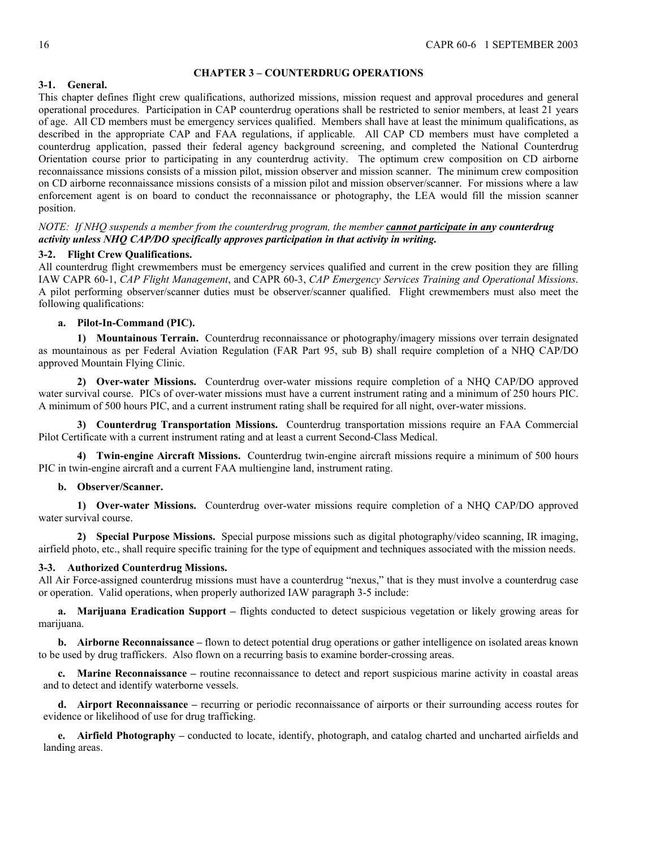### <span id="page-15-0"></span>**CHAPTER 3 – COUNTERDRUG OPERATIONS**

# <span id="page-15-1"></span>**3-1. General.**

This chapter defines flight crew qualifications, authorized missions, mission request and approval procedures and general operational procedures. Participation in CAP counterdrug operations shall be restricted to senior members, at least 21 years of age. All CD members must be emergency services qualified. Members shall have at least the minimum qualifications, as described in the appropriate CAP and FAA regulations, if applicable. All CAP CD members must have completed a counterdrug application, passed their federal agency background screening, and completed the National Counterdrug Orientation course prior to participating in any counterdrug activity. The optimum crew composition on CD airborne reconnaissance missions consists of a mission pilot, mission observer and mission scanner. The minimum crew composition on CD airborne reconnaissance missions consists of a mission pilot and mission observer/scanner. For missions where a law enforcement agent is on board to conduct the reconnaissance or photography, the LEA would fill the mission scanner position.

# *NOTE: If NHQ suspends a member from the counterdrug program, the member cannot participate in any counterdrug activity unless NHQ CAP/DO specifically approves participation in that activity in writing.*

## <span id="page-15-2"></span>**3-2. Flight Crew Qualifications.**

All counterdrug flight crewmembers must be emergency services qualified and current in the crew position they are filling IAW CAPR 60-1, *CAP Flight Management*, and CAPR 60-3, *CAP Emergency Services Training and Operational Missions*. A pilot performing observer/scanner duties must be observer/scanner qualified. Flight crewmembers must also meet the following qualifications:

## **a. Pilot-In-Command (PIC).**

**1) Mountainous Terrain.** Counterdrug reconnaissance or photography/imagery missions over terrain designated as mountainous as per Federal Aviation Regulation (FAR Part 95, sub B) shall require completion of a NHQ CAP/DO approved Mountain Flying Clinic.

**2) Over-water Missions.** Counterdrug over-water missions require completion of a NHQ CAP/DO approved water survival course. PICs of over-water missions must have a current instrument rating and a minimum of 250 hours PIC. A minimum of 500 hours PIC, and a current instrument rating shall be required for all night, over-water missions.

**3) Counterdrug Transportation Missions.** Counterdrug transportation missions require an FAA Commercial Pilot Certificate with a current instrument rating and at least a current Second-Class Medical.

**4) Twin-engine Aircraft Missions.** Counterdrug twin-engine aircraft missions require a minimum of 500 hours PIC in twin-engine aircraft and a current FAA multiengine land, instrument rating.

### **b. Observer/Scanner.**

**1) Over-water Missions.** Counterdrug over-water missions require completion of a NHQ CAP/DO approved water survival course.

**2) Special Purpose Missions.** Special purpose missions such as digital photography/video scanning, IR imaging, airfield photo, etc., shall require specific training for the type of equipment and techniques associated with the mission needs.

### <span id="page-15-3"></span>**3-3. Authorized Counterdrug Missions.**

All Air Force-assigned counterdrug missions must have a counterdrug "nexus," that is they must involve a counterdrug case or operation. Valid operations, when properly authorized IAW paragraph 3-5 include:

**a. Marijuana Eradication Support –** flights conducted to detect suspicious vegetation or likely growing areas for marijuana.

**b. Airborne Reconnaissance –** flown to detect potential drug operations or gather intelligence on isolated areas known to be used by drug traffickers. Also flown on a recurring basis to examine border-crossing areas.

**c. Marine Reconnaissance –** routine reconnaissance to detect and report suspicious marine activity in coastal areas and to detect and identify waterborne vessels.

**d. Airport Reconnaissance –** recurring or periodic reconnaissance of airports or their surrounding access routes for evidence or likelihood of use for drug trafficking.

**e. Airfield Photography –** conducted to locate, identify, photograph, and catalog charted and uncharted airfields and landing areas.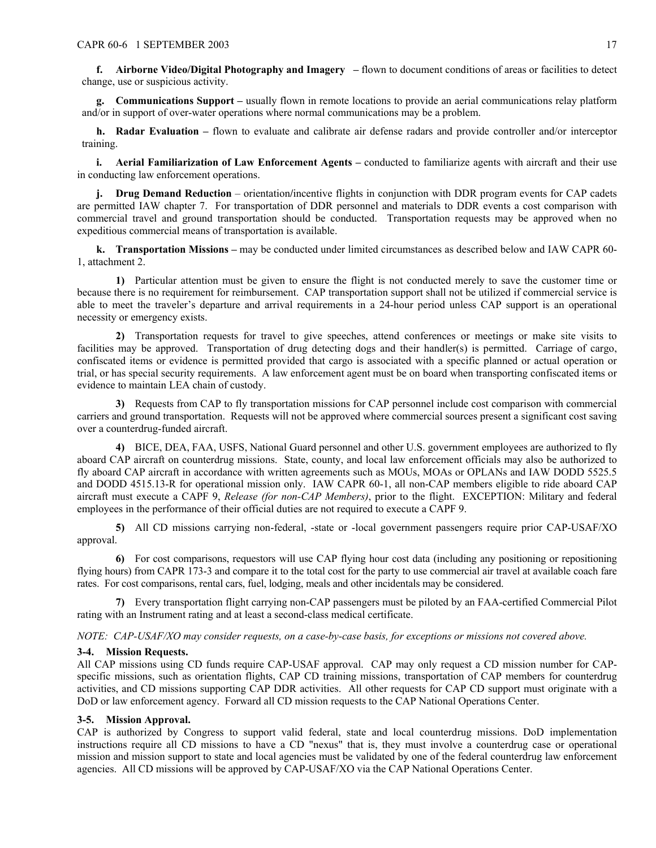**f. Airborne Video/Digital Photography and Imagery –** flown to document conditions of areas or facilities to detect change, use or suspicious activity.

**g. Communications Support –** usually flown in remote locations to provide an aerial communications relay platform and/or in support of over-water operations where normal communications may be a problem.

**h. Radar Evaluation –** flown to evaluate and calibrate air defense radars and provide controller and/or interceptor training.

**i. Aerial Familiarization of Law Enforcement Agents –** conducted to familiarize agents with aircraft and their use in conducting law enforcement operations.

**j. Drug Demand Reduction** – orientation**/**incentive flights in conjunction with DDR program events for CAP cadets are permitted IAW chapter 7. For transportation of DDR personnel and materials to DDR events a cost comparison with commercial travel and ground transportation should be conducted. Transportation requests may be approved when no expeditious commercial means of transportation is available.

**k. Transportation Missions –** may be conducted under limited circumstances as described below and IAW CAPR 60- 1, attachment 2.

**1)** Particular attention must be given to ensure the flight is not conducted merely to save the customer time or because there is no requirement for reimbursement. CAP transportation support shall not be utilized if commercial service is able to meet the traveler's departure and arrival requirements in a 24-hour period unless CAP support is an operational necessity or emergency exists.

**2)** Transportation requests for travel to give speeches, attend conferences or meetings or make site visits to facilities may be approved. Transportation of drug detecting dogs and their handler(s) is permitted. Carriage of cargo, confiscated items or evidence is permitted provided that cargo is associated with a specific planned or actual operation or trial, or has special security requirements. A law enforcement agent must be on board when transporting confiscated items or evidence to maintain LEA chain of custody.

**3)** Requests from CAP to fly transportation missions for CAP personnel include cost comparison with commercial carriers and ground transportation. Requests will not be approved where commercial sources present a significant cost saving over a counterdrug-funded aircraft.

**4)** BICE, DEA, FAA, USFS, National Guard personnel and other U.S. government employees are authorized to fly aboard CAP aircraft on counterdrug missions. State, county, and local law enforcement officials may also be authorized to fly aboard CAP aircraft in accordance with written agreements such as MOUs, MOAs or OPLANs and IAW DODD 5525.5 and DODD 4515.13-R for operational mission only. IAW CAPR 60-1, all non-CAP members eligible to ride aboard CAP aircraft must execute a CAPF 9, *Release (for non-CAP Members)*, prior to the flight. EXCEPTION: Military and federal employees in the performance of their official duties are not required to execute a CAPF 9.

**5)** All CD missions carrying non-federal, -state or -local government passengers require prior CAP-USAF/XO approval.

**6)** For cost comparisons, requestors will use CAP flying hour cost data (including any positioning or repositioning flying hours) from CAPR 173-3 and compare it to the total cost for the party to use commercial air travel at available coach fare rates. For cost comparisons, rental cars, fuel, lodging, meals and other incidentals may be considered.

**7)** Every transportation flight carrying non-CAP passengers must be piloted by an FAA-certified Commercial Pilot rating with an Instrument rating and at least a second-class medical certificate.

### *NOTE: CAP-USAF/XO may consider requests, on a case-by-case basis, for exceptions or missions not covered above.*

### <span id="page-16-0"></span>**3-4. Mission Requests.**

All CAP missions using CD funds require CAP-USAF approval. CAP may only request a CD mission number for CAPspecific missions, such as orientation flights, CAP CD training missions, transportation of CAP members for counterdrug activities, and CD missions supporting CAP DDR activities. All other requests for CAP CD support must originate with a DoD or law enforcement agency. Forward all CD mission requests to the CAP National Operations Center.

### <span id="page-16-1"></span>**3-5. Mission Approval.**

CAP is authorized by Congress to support valid federal, state and local counterdrug missions. DoD implementation instructions require all CD missions to have a CD "nexus" that is, they must involve a counterdrug case or operational mission and mission support to state and local agencies must be validated by one of the federal counterdrug law enforcement agencies. All CD missions will be approved by CAP-USAF/XO via the CAP National Operations Center.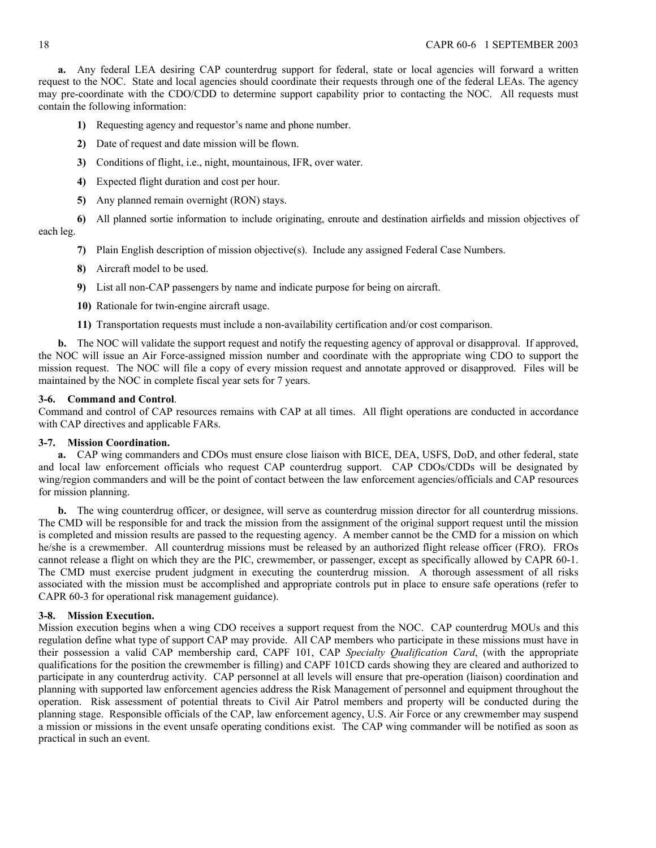**a.** Any federal LEA desiring CAP counterdrug support for federal, state or local agencies will forward a written request to the NOC. State and local agencies should coordinate their requests through one of the federal LEAs. The agency may pre-coordinate with the CDO/CDD to determine support capability prior to contacting the NOC. All requests must contain the following information:

- **1)** Requesting agency and requestor's name and phone number.
- **2)** Date of request and date mission will be flown.
- **3)** Conditions of flight, i.e., night, mountainous, IFR, over water.
- **4)** Expected flight duration and cost per hour.
- **5)** Any planned remain overnight (RON) stays.
- **6)** All planned sortie information to include originating, enroute and destination airfields and mission objectives of each leg.
	- **7)** Plain English description of mission objective(s). Include any assigned Federal Case Numbers.
	- **8)** Aircraft model to be used.
	- **9)** List all non-CAP passengers by name and indicate purpose for being on aircraft.
	- **10)** Rationale for twin-engine aircraft usage.
	- **11)** Transportation requests must include a non-availability certification and/or cost comparison.

**b.** The NOC will validate the support request and notify the requesting agency of approval or disapproval. If approved, the NOC will issue an Air Force-assigned mission number and coordinate with the appropriate wing CDO to support the mission request. The NOC will file a copy of every mission request and annotate approved or disapproved. Files will be maintained by the NOC in complete fiscal year sets for 7 years.

### <span id="page-17-0"></span>**3-6. Command and Control**.

Command and control of CAP resources remains with CAP at all times. All flight operations are conducted in accordance with CAP directives and applicable FARs.

### <span id="page-17-1"></span>**3-7. Mission Coordination.**

**a.** CAP wing commanders and CDOs must ensure close liaison with BICE, DEA, USFS, DoD, and other federal, state and local law enforcement officials who request CAP counterdrug support. CAP CDOs/CDDs will be designated by wing/region commanders and will be the point of contact between the law enforcement agencies/officials and CAP resources for mission planning.

**b.** The wing counterdrug officer, or designee, will serve as counterdrug mission director for all counterdrug missions. The CMD will be responsible for and track the mission from the assignment of the original support request until the mission is completed and mission results are passed to the requesting agency. A member cannot be the CMD for a mission on which he/she is a crewmember. All counterdrug missions must be released by an authorized flight release officer (FRO). FROs cannot release a flight on which they are the PIC, crewmember, or passenger, except as specifically allowed by CAPR 60-1. The CMD must exercise prudent judgment in executing the counterdrug mission. A thorough assessment of all risks associated with the mission must be accomplished and appropriate controls put in place to ensure safe operations (refer to CAPR 60-3 for operational risk management guidance).

### <span id="page-17-2"></span>**3-8. Mission Execution.**

Mission execution begins when a wing CDO receives a support request from the NOC. CAP counterdrug MOUs and this regulation define what type of support CAP may provide. All CAP members who participate in these missions must have in their possession a valid CAP membership card, CAPF 101, CAP *Specialty Qualification Card*, (with the appropriate qualifications for the position the crewmember is filling) and CAPF 101CD cards showing they are cleared and authorized to participate in any counterdrug activity. CAP personnel at all levels will ensure that pre-operation (liaison) coordination and planning with supported law enforcement agencies address the Risk Management of personnel and equipment throughout the operation. Risk assessment of potential threats to Civil Air Patrol members and property will be conducted during the planning stage. Responsible officials of the CAP, law enforcement agency, U.S. Air Force or any crewmember may suspend a mission or missions in the event unsafe operating conditions exist. The CAP wing commander will be notified as soon as practical in such an event.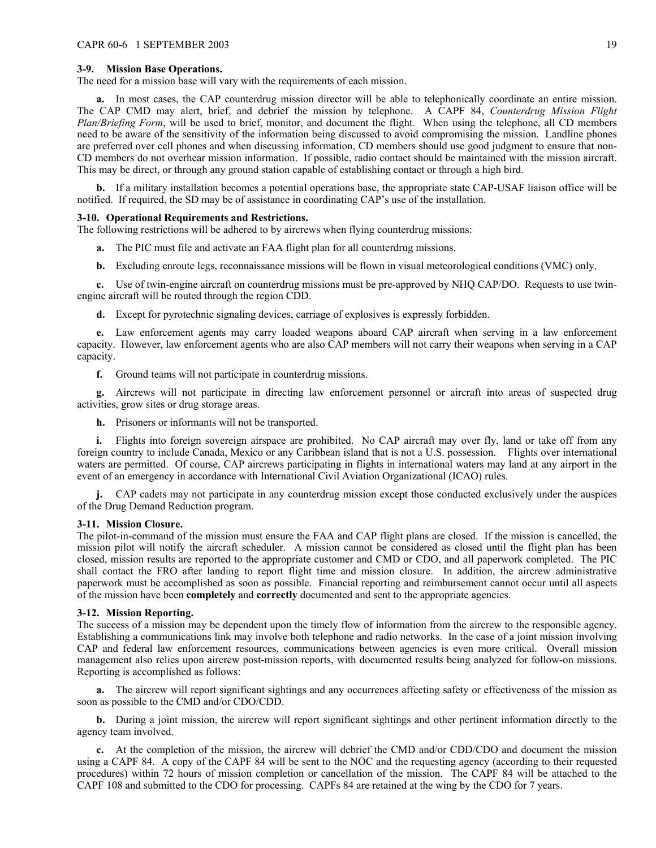#### <span id="page-18-0"></span>**3-9. Mission Base Operations.**

The need for a mission base will vary with the requirements of each mission.

**a.** In most cases, the CAP counterdrug mission director will be able to telephonically coordinate an entire mission. The CAP CMD may alert, brief, and debrief the mission by telephone. A CAPF 84, *Counterdrug Mission Flight Plan/Briefing Form*, will be used to brief, monitor, and document the flight. When using the telephone, all CD members need to be aware of the sensitivity of the information being discussed to avoid compromising the mission. Landline phones are preferred over cell phones and when discussing information, CD members should use good judgment to ensure that non-CD members do not overhear mission information. If possible, radio contact should be maintained with the mission aircraft. This may be direct, or through any ground station capable of establishing contact or through a high bird.

**b.** If a military installation becomes a potential operations base, the appropriate state CAP-USAF liaison office will be notified. If required, the SD may be of assistance in coordinating CAP's use of the installation.

#### <span id="page-18-1"></span>**3-10. Operational Requirements and Restrictions.**

The following restrictions will be adhered to by aircrews when flying counterdrug missions:

- **a.** The PIC must file and activate an FAA flight plan for all counterdrug missions.
- **b.** Excluding enroute legs, reconnaissance missions will be flown in visual meteorological conditions (VMC) only.

**c.** Use of twin-engine aircraft on counterdrug missions must be pre-approved by NHQ CAP/DO. Requests to use twinengine aircraft will be routed through the region CDD.

**d.** Except for pyrotechnic signaling devices, carriage of explosives is expressly forbidden.

**e.** Law enforcement agents may carry loaded weapons aboard CAP aircraft when serving in a law enforcement capacity. However, law enforcement agents who are also CAP members will not carry their weapons when serving in a CAP capacity.

**f.** Ground teams will not participate in counterdrug missions.

**g.** Aircrews will not participate in directing law enforcement personnel or aircraft into areas of suspected drug activities, grow sites or drug storage areas.

**h.** Prisoners or informants will not be transported.

**i.** Flights into foreign sovereign airspace are prohibited. No CAP aircraft may over fly, land or take off from any foreign country to include Canada, Mexico or any Caribbean island that is not a U.S. possession. Flights over international waters are permitted. Of course, CAP aircrews participating in flights in international waters may land at any airport in the event of an emergency in accordance with International Civil Aviation Organizational (ICAO) rules.

**j.** CAP cadets may not participate in any counterdrug mission except those conducted exclusively under the auspices of the Drug Demand Reduction program.

#### <span id="page-18-2"></span>**3-11. Mission Closure.**

The pilot-in-command of the mission must ensure the FAA and CAP flight plans are closed. If the mission is cancelled, the mission pilot will notify the aircraft scheduler. A mission cannot be considered as closed until the flight plan has been closed, mission results are reported to the appropriate customer and CMD or CDO, and all paperwork completed. The PIC shall contact the FRO after landing to report flight time and mission closure. In addition, the aircrew administrative paperwork must be accomplished as soon as possible. Financial reporting and reimbursement cannot occur until all aspects of the mission have been **completely** and **correctly** documented and sent to the appropriate agencies.

#### <span id="page-18-3"></span>**3-12. Mission Reporting.**

The success of a mission may be dependent upon the timely flow of information from the aircrew to the responsible agency. Establishing a communications link may involve both telephone and radio networks. In the case of a joint mission involving CAP and federal law enforcement resources, communications between agencies is even more critical. Overall mission management also relies upon aircrew post-mission reports, with documented results being analyzed for follow-on missions. Reporting is accomplished as follows:

**a.** The aircrew will report significant sightings and any occurrences affecting safety or effectiveness of the mission as soon as possible to the CMD and/or CDO/CDD.

**b.** During a joint mission, the aircrew will report significant sightings and other pertinent information directly to the agency team involved.

**c.** At the completion of the mission, the aircrew will debrief the CMD and/or CDD/CDO and document the mission using a CAPF 84. A copy of the CAPF 84 will be sent to the NOC and the requesting agency (according to their requested procedures) within 72 hours of mission completion or cancellation of the mission. The CAPF 84 will be attached to the CAPF 108 and submitted to the CDO for processing. CAPFs 84 are retained at the wing by the CDO for 7 years.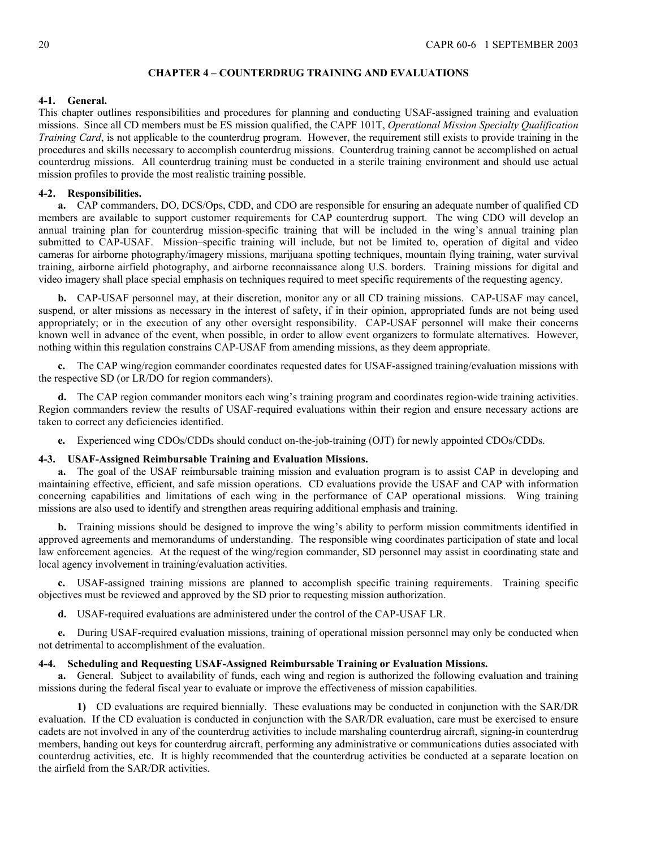### <span id="page-19-0"></span>**CHAPTER 4 – COUNTERDRUG TRAINING AND EVALUATIONS**

## <span id="page-19-1"></span>**4-1. General.**

This chapter outlines responsibilities and procedures for planning and conducting USAF-assigned training and evaluation missions. Since all CD members must be ES mission qualified, the CAPF 101T, *Operational Mission Specialty Qualification Training Card*, is not applicable to the counterdrug program. However, the requirement still exists to provide training in the procedures and skills necessary to accomplish counterdrug missions. Counterdrug training cannot be accomplished on actual counterdrug missions. All counterdrug training must be conducted in a sterile training environment and should use actual mission profiles to provide the most realistic training possible.

## <span id="page-19-2"></span>**4-2. Responsibilities.**

**a.** CAP commanders, DO, DCS/Ops, CDD, and CDO are responsible for ensuring an adequate number of qualified CD members are available to support customer requirements for CAP counterdrug support. The wing CDO will develop an annual training plan for counterdrug mission-specific training that will be included in the wing's annual training plan submitted to CAP-USAF. Mission–specific training will include, but not be limited to, operation of digital and video cameras for airborne photography/imagery missions, marijuana spotting techniques, mountain flying training, water survival training, airborne airfield photography, and airborne reconnaissance along U.S. borders. Training missions for digital and video imagery shall place special emphasis on techniques required to meet specific requirements of the requesting agency.

**b.** CAP-USAF personnel may, at their discretion, monitor any or all CD training missions. CAP-USAF may cancel, suspend, or alter missions as necessary in the interest of safety, if in their opinion, appropriated funds are not being used appropriately; or in the execution of any other oversight responsibility. CAP-USAF personnel will make their concerns known well in advance of the event, when possible, in order to allow event organizers to formulate alternatives. However, nothing within this regulation constrains CAP-USAF from amending missions, as they deem appropriate.

**c.** The CAP wing/region commander coordinates requested dates for USAF-assigned training/evaluation missions with the respective SD (or LR/DO for region commanders).

**d.** The CAP region commander monitors each wing's training program and coordinates region-wide training activities. Region commanders review the results of USAF-required evaluations within their region and ensure necessary actions are taken to correct any deficiencies identified.

**e.** Experienced wing CDOs/CDDs should conduct on-the-job-training (OJT) for newly appointed CDOs/CDDs.

# <span id="page-19-3"></span>**4-3. USAF-Assigned Reimbursable Training and Evaluation Missions.**

**a.** The goal of the USAF reimbursable training mission and evaluation program is to assist CAP in developing and maintaining effective, efficient, and safe mission operations. CD evaluations provide the USAF and CAP with information concerning capabilities and limitations of each wing in the performance of CAP operational missions. Wing training missions are also used to identify and strengthen areas requiring additional emphasis and training.

**b.** Training missions should be designed to improve the wing's ability to perform mission commitments identified in approved agreements and memorandums of understanding. The responsible wing coordinates participation of state and local law enforcement agencies. At the request of the wing/region commander, SD personnel may assist in coordinating state and local agency involvement in training/evaluation activities.

**c.** USAF-assigned training missions are planned to accomplish specific training requirements. Training specific objectives must be reviewed and approved by the SD prior to requesting mission authorization.

**d.** USAF-required evaluations are administered under the control of the CAP-USAF LR.

**e.** During USAF-required evaluation missions, training of operational mission personnel may only be conducted when not detrimental to accomplishment of the evaluation.

### <span id="page-19-4"></span>**4-4. Scheduling and Requesting USAF-Assigned Reimbursable Training or Evaluation Missions.**

**a.** General. Subject to availability of funds, each wing and region is authorized the following evaluation and training missions during the federal fiscal year to evaluate or improve the effectiveness of mission capabilities.

**1)** CD evaluations are required biennially. These evaluations may be conducted in conjunction with the SAR/DR evaluation. If the CD evaluation is conducted in conjunction with the SAR/DR evaluation, care must be exercised to ensure cadets are not involved in any of the counterdrug activities to include marshaling counterdrug aircraft, signing-in counterdrug members, handing out keys for counterdrug aircraft, performing any administrative or communications duties associated with counterdrug activities, etc. It is highly recommended that the counterdrug activities be conducted at a separate location on the airfield from the SAR/DR activities.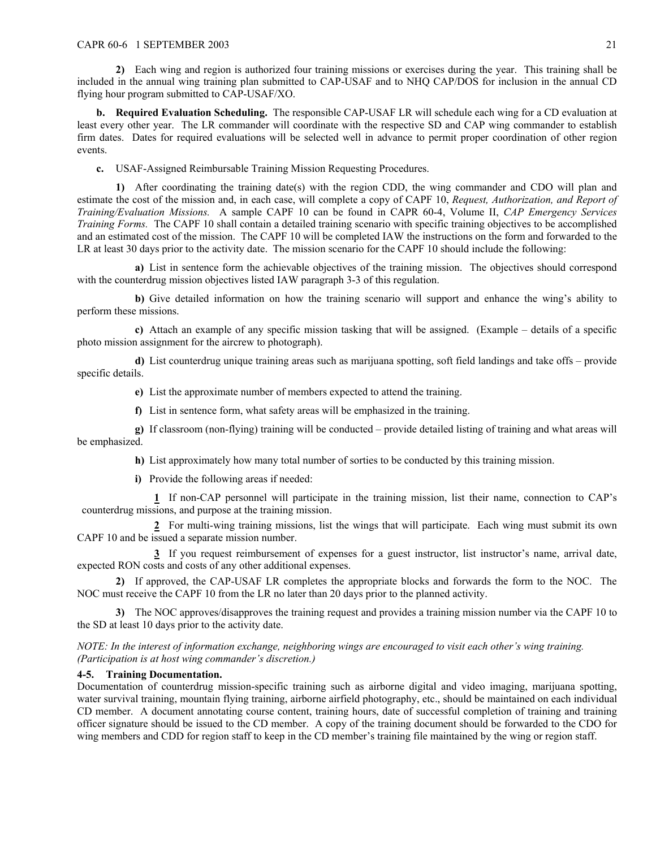**2)** Each wing and region is authorized four training missions or exercises during the year. This training shall be included in the annual wing training plan submitted to CAP-USAF and to NHQ CAP/DOS for inclusion in the annual CD flying hour program submitted to CAP-USAF/XO.

**b. Required Evaluation Scheduling.** The responsible CAP-USAF LR will schedule each wing for a CD evaluation at least every other year. The LR commander will coordinate with the respective SD and CAP wing commander to establish firm dates. Dates for required evaluations will be selected well in advance to permit proper coordination of other region events.

**c.** USAF-Assigned Reimbursable Training Mission Requesting Procedures.

**1)** After coordinating the training date(s) with the region CDD, the wing commander and CDO will plan and estimate the cost of the mission and, in each case, will complete a copy of CAPF 10, *Request, Authorization, and Report of Training/Evaluation Missions.* A sample CAPF 10 can be found in CAPR 60-4, Volume II, *CAP Emergency Services Training Forms.* The CAPF 10 shall contain a detailed training scenario with specific training objectives to be accomplished and an estimated cost of the mission. The CAPF 10 will be completed IAW the instructions on the form and forwarded to the LR at least 30 days prior to the activity date. The mission scenario for the CAPF 10 should include the following:

**a)** List in sentence form the achievable objectives of the training mission. The objectives should correspond with the counterdrug mission objectives listed IAW paragraph 3-3 of this regulation.

**b)** Give detailed information on how the training scenario will support and enhance the wing's ability to perform these missions.

**c)** Attach an example of any specific mission tasking that will be assigned. (Example – details of a specific photo mission assignment for the aircrew to photograph).

**d)** List counterdrug unique training areas such as marijuana spotting, soft field landings and take offs – provide specific details.

**e)** List the approximate number of members expected to attend the training.

**f)** List in sentence form, what safety areas will be emphasized in the training.

**g)** If classroom (non-flying) training will be conducted – provide detailed listing of training and what areas will be emphasized.

**h)** List approximately how many total number of sorties to be conducted by this training mission.

**i)** Provide the following areas if needed:

**1** If non-CAP personnel will participate in the training mission, list their name, connection to CAP's counterdrug missions, and purpose at the training mission.

**2** For multi-wing training missions, list the wings that will participate. Each wing must submit its own CAPF 10 and be issued a separate mission number.

**3** If you request reimbursement of expenses for a guest instructor, list instructor's name, arrival date, expected RON costs and costs of any other additional expenses.

**2)** If approved, the CAP-USAF LR completes the appropriate blocks and forwards the form to the NOC. The NOC must receive the CAPF 10 from the LR no later than 20 days prior to the planned activity.

**3)** The NOC approves/disapproves the training request and provides a training mission number via the CAPF 10 to the SD at least 10 days prior to the activity date.

*NOTE: In the interest of information exchange, neighboring wings are encouraged to visit each other's wing training. (Participation is at host wing commander's discretion.)*

### <span id="page-20-0"></span>**4-5. Training Documentation.**

Documentation of counterdrug mission-specific training such as airborne digital and video imaging, marijuana spotting, water survival training, mountain flying training, airborne airfield photography, etc., should be maintained on each individual CD member. A document annotating course content, training hours, date of successful completion of training and training officer signature should be issued to the CD member. A copy of the training document should be forwarded to the CDO for wing members and CDD for region staff to keep in the CD member's training file maintained by the wing or region staff.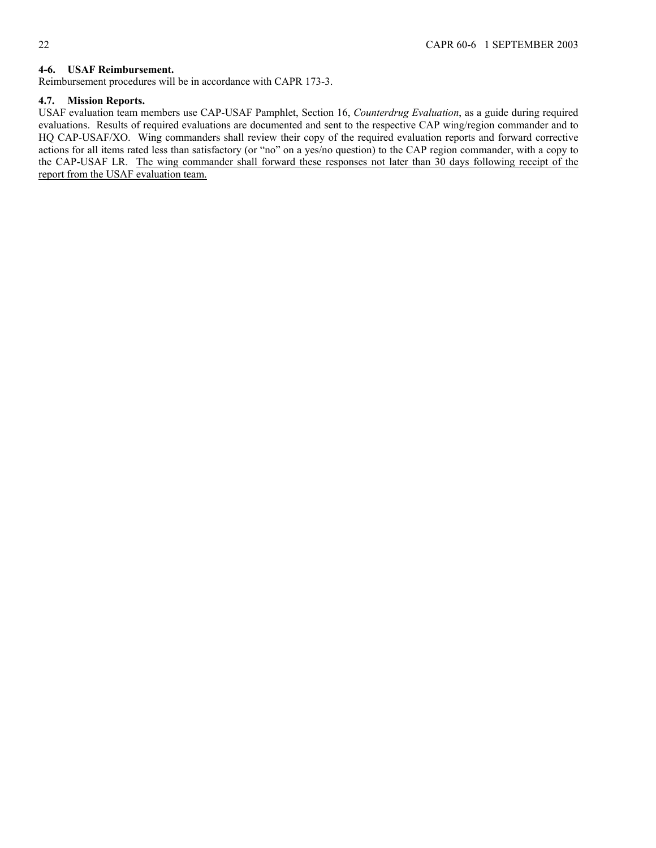# <span id="page-21-0"></span>**4-6. USAF Reimbursement.**

Reimbursement procedures will be in accordance with CAPR 173-3.

# <span id="page-21-1"></span>**4.7. Mission Reports.**

USAF evaluation team members use CAP-USAF Pamphlet, Section 16, *Counterdrug Evaluation*, as a guide during required evaluations. Results of required evaluations are documented and sent to the respective CAP wing/region commander and to HQ CAP-USAF/XO. Wing commanders shall review their copy of the required evaluation reports and forward corrective actions for all items rated less than satisfactory (or "no" on a yes/no question) to the CAP region commander, with a copy to the CAP-USAF LR. The wing commander shall forward these responses not later than 30 days following receipt of the report from the USAF evaluation team.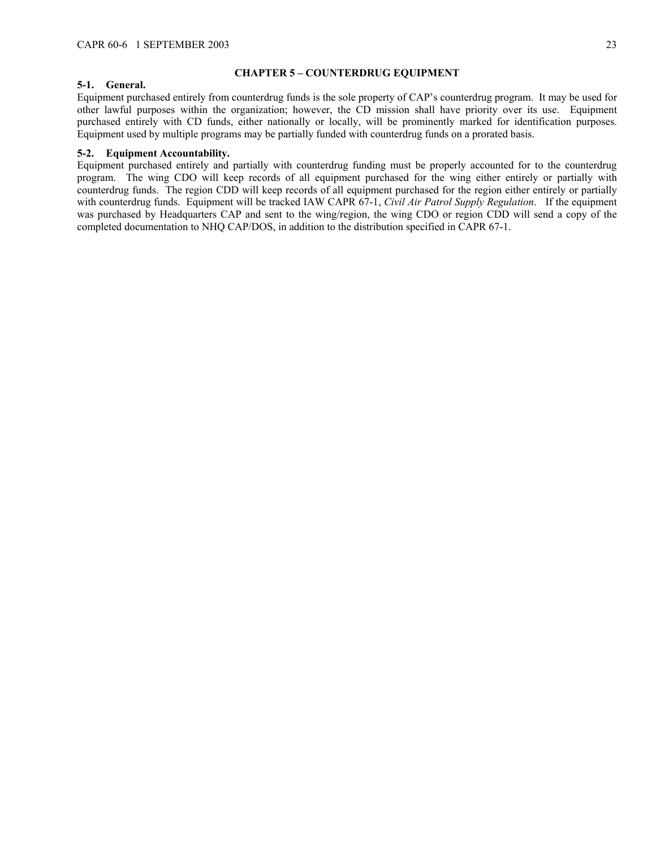### <span id="page-22-0"></span>**CHAPTER 5 – COUNTERDRUG EQUIPMENT**

### <span id="page-22-1"></span>**5-1. General.**

Equipment purchased entirely from counterdrug funds is the sole property of CAP's counterdrug program. It may be used for other lawful purposes within the organization; however, the CD mission shall have priority over its use. Equipment purchased entirely with CD funds, either nationally or locally, will be prominently marked for identification purposes. Equipment used by multiple programs may be partially funded with counterdrug funds on a prorated basis.

## <span id="page-22-2"></span>**5-2. Equipment Accountability.**

Equipment purchased entirely and partially with counterdrug funding must be properly accounted for to the counterdrug program. The wing CDO will keep records of all equipment purchased for the wing either entirely or partially with counterdrug funds. The region CDD will keep records of all equipment purchased for the region either entirely or partially with counterdrug funds. Equipment will be tracked IAW CAPR 67-1, *Civil Air Patrol Supply Regulation*. If the equipment was purchased by Headquarters CAP and sent to the wing/region, the wing CDO or region CDD will send a copy of the completed documentation to NHQ CAP/DOS, in addition to the distribution specified in CAPR 67-1.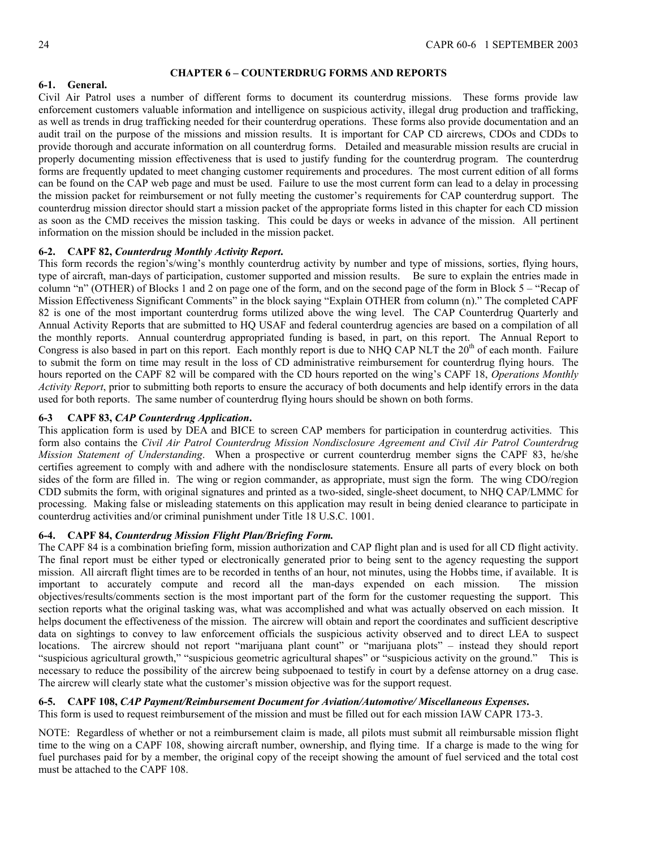## <span id="page-23-0"></span>**CHAPTER 6 – COUNTERDRUG FORMS AND REPORTS**

## <span id="page-23-1"></span>**6-1. General.**

Civil Air Patrol uses a number of different forms to document its counterdrug missions. These forms provide law enforcement customers valuable information and intelligence on suspicious activity, illegal drug production and trafficking, as well as trends in drug trafficking needed for their counterdrug operations. These forms also provide documentation and an audit trail on the purpose of the missions and mission results. It is important for CAP CD aircrews, CDOs and CDDs to provide thorough and accurate information on all counterdrug forms. Detailed and measurable mission results are crucial in properly documenting mission effectiveness that is used to justify funding for the counterdrug program. The counterdrug forms are frequently updated to meet changing customer requirements and procedures. The most current edition of all forms can be found on the CAP web page and must be used. Failure to use the most current form can lead to a delay in processing the mission packet for reimbursement or not fully meeting the customer's requirements for CAP counterdrug support. The counterdrug mission director should start a mission packet of the appropriate forms listed in this chapter for each CD mission as soon as the CMD receives the mission tasking. This could be days or weeks in advance of the mission. All pertinent information on the mission should be included in the mission packet.

# <span id="page-23-2"></span>**6-2. CAPF 82,** *Counterdrug Monthly Activity Report***.**

This form records the region's/wing's monthly counterdrug activity by number and type of missions, sorties, flying hours, type of aircraft, man-days of participation, customer supported and mission results. Be sure to explain the entries made in column "n" (OTHER) of Blocks 1 and 2 on page one of the form, and on the second page of the form in Block 5 – "Recap of Mission Effectiveness Significant Comments" in the block saying "Explain OTHER from column (n)." The completed CAPF 82 is one of the most important counterdrug forms utilized above the wing level. The CAP Counterdrug Quarterly and Annual Activity Reports that are submitted to HQ USAF and federal counterdrug agencies are based on a compilation of all the monthly reports. Annual counterdrug appropriated funding is based, in part, on this report. The Annual Report to Congress is also based in part on this report. Each monthly report is due to NHQ CAP NLT the 20<sup>th</sup> of each month. Failure to submit the form on time may result in the loss of CD administrative reimbursement for counterdrug flying hours. The hours reported on the CAPF 82 will be compared with the CD hours reported on the wing's CAPF 18, *Operations Monthly Activity Report*, prior to submitting both reports to ensure the accuracy of both documents and help identify errors in the data used for both reports. The same number of counterdrug flying hours should be shown on both forms.

# <span id="page-23-3"></span>**6-3 CAPF 83,** *CAP Counterdrug Application***.**

This application form is used by DEA and BICE to screen CAP members for participation in counterdrug activities. This form also contains the *Civil Air Patrol Counterdrug Mission Nondisclosure Agreement and Civil Air Patrol Counterdrug Mission Statement of Understanding*. When a prospective or current counterdrug member signs the CAPF 83, he/she certifies agreement to comply with and adhere with the nondisclosure statements. Ensure all parts of every block on both sides of the form are filled in. The wing or region commander, as appropriate, must sign the form. The wing CDO/region CDD submits the form, with original signatures and printed as a two-sided, single-sheet document, to NHQ CAP/LMMC for processing. Making false or misleading statements on this application may result in being denied clearance to participate in counterdrug activities and/or criminal punishment under Title 18 U.S.C. 1001.

### <span id="page-23-4"></span>**6-4. CAPF 84,** *Counterdrug Mission Flight Plan/Briefing Form.*

The CAPF 84 is a combination briefing form, mission authorization and CAP flight plan and is used for all CD flight activity. The final report must be either typed or electronically generated prior to being sent to the agency requesting the support mission. All aircraft flight times are to be recorded in tenths of an hour, not minutes, using the Hobbs time, if available. It is important to accurately compute and record all the man-days expended on each mission. The mission objectives/results/comments section is the most important part of the form for the customer requesting the support. This section reports what the original tasking was, what was accomplished and what was actually observed on each mission. It helps document the effectiveness of the mission. The aircrew will obtain and report the coordinates and sufficient descriptive data on sightings to convey to law enforcement officials the suspicious activity observed and to direct LEA to suspect locations. The aircrew should not report "marijuana plant count" or "marijuana plots" – instead they should report "suspicious agricultural growth," "suspicious geometric agricultural shapes" or "suspicious activity on the ground." This is necessary to reduce the possibility of the aircrew being subpoenaed to testify in court by a defense attorney on a drug case. The aircrew will clearly state what the customer's mission objective was for the support request.

## <span id="page-23-5"></span>**6-5. CAPF 108,** *CAP Payment/Reimbursement Document for Aviation/Automotive/ Miscellaneous Expenses***.**

This form is used to request reimbursement of the mission and must be filled out for each mission IAW CAPR 173-3.

NOTE: Regardless of whether or not a reimbursement claim is made, all pilots must submit all reimbursable mission flight time to the wing on a CAPF 108, showing aircraft number, ownership, and flying time. If a charge is made to the wing for fuel purchases paid for by a member, the original copy of the receipt showing the amount of fuel serviced and the total cost must be attached to the CAPF 108.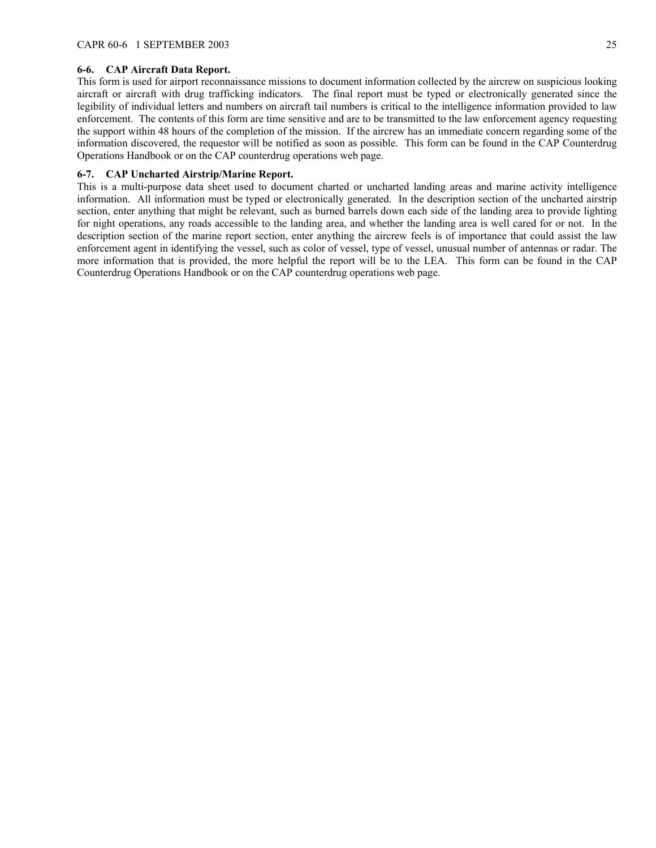## <span id="page-24-0"></span>**6-6. CAP Aircraft Data Report.**

This form is used for airport reconnaissance missions to document information collected by the aircrew on suspicious looking aircraft or aircraft with drug trafficking indicators. The final report must be typed or electronically generated since the legibility of individual letters and numbers on aircraft tail numbers is critical to the intelligence information provided to law enforcement. The contents of this form are time sensitive and are to be transmitted to the law enforcement agency requesting the support within 48 hours of the completion of the mission. If the aircrew has an immediate concern regarding some of the information discovered, the requestor will be notified as soon as possible. This form can be found in the CAP Counterdrug Operations Handbook or on the CAP counterdrug operations web page.

### <span id="page-24-1"></span>**6-7. CAP Uncharted Airstrip/Marine Report.**

This is a multi-purpose data sheet used to document charted or uncharted landing areas and marine activity intelligence information. All information must be typed or electronically generated. In the description section of the uncharted airstrip section, enter anything that might be relevant, such as burned barrels down each side of the landing area to provide lighting for night operations, any roads accessible to the landing area, and whether the landing area is well cared for or not. In the description section of the marine report section, enter anything the aircrew feels is of importance that could assist the law enforcement agent in identifying the vessel, such as color of vessel, type of vessel, unusual number of antennas or radar. The more information that is provided, the more helpful the report will be to the LEA. This form can be found in the CAP Counterdrug Operations Handbook or on the CAP counterdrug operations web page.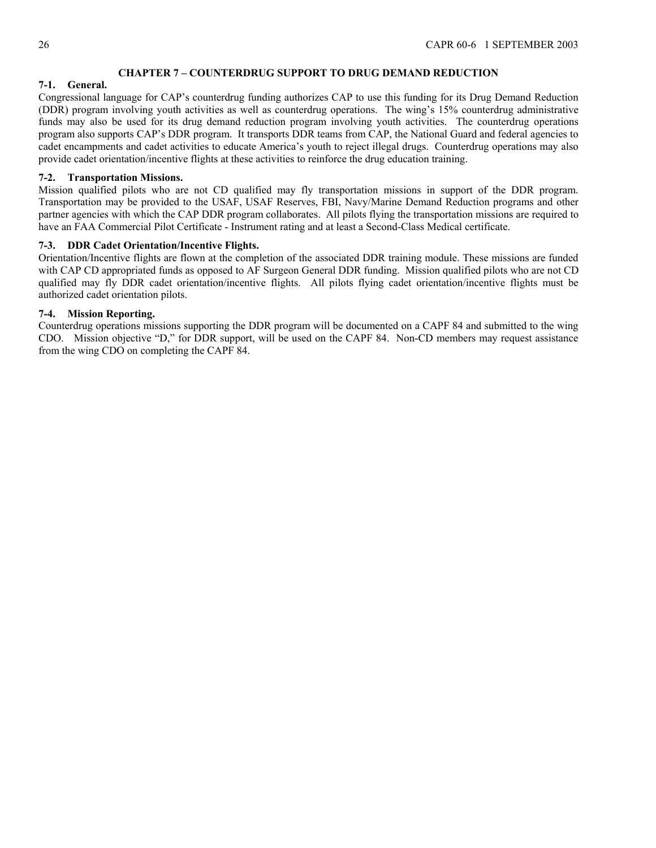# <span id="page-25-0"></span>**CHAPTER 7 – COUNTERDRUG SUPPORT TO DRUG DEMAND REDUCTION**

# <span id="page-25-1"></span>**7-1. General.**

Congressional language for CAP's counterdrug funding authorizes CAP to use this funding for its Drug Demand Reduction (DDR) program involving youth activities as well as counterdrug operations. The wing's 15% counterdrug administrative funds may also be used for its drug demand reduction program involving youth activities. The counterdrug operations program also supports CAP's DDR program. It transports DDR teams from CAP, the National Guard and federal agencies to cadet encampments and cadet activities to educate America's youth to reject illegal drugs. Counterdrug operations may also provide cadet orientation/incentive flights at these activities to reinforce the drug education training.

# <span id="page-25-2"></span>**7-2. Transportation Missions.**

Mission qualified pilots who are not CD qualified may fly transportation missions in support of the DDR program. Transportation may be provided to the USAF, USAF Reserves, FBI, Navy/Marine Demand Reduction programs and other partner agencies with which the CAP DDR program collaborates. All pilots flying the transportation missions are required to have an FAA Commercial Pilot Certificate - Instrument rating and at least a Second-Class Medical certificate.

# <span id="page-25-3"></span>**7-3. DDR Cadet Orientation/Incentive Flights.**

Orientation/Incentive flights are flown at the completion of the associated DDR training module. These missions are funded with CAP CD appropriated funds as opposed to AF Surgeon General DDR funding. Mission qualified pilots who are not CD qualified may fly DDR cadet orientation/incentive flights. All pilots flying cadet orientation/incentive flights must be authorized cadet orientation pilots.

# <span id="page-25-4"></span>**7-4. Mission Reporting.**

Counterdrug operations missions supporting the DDR program will be documented on a CAPF 84 and submitted to the wing CDO. Mission objective "D," for DDR support, will be used on the CAPF 84. Non-CD members may request assistance from the wing CDO on completing the CAPF 84.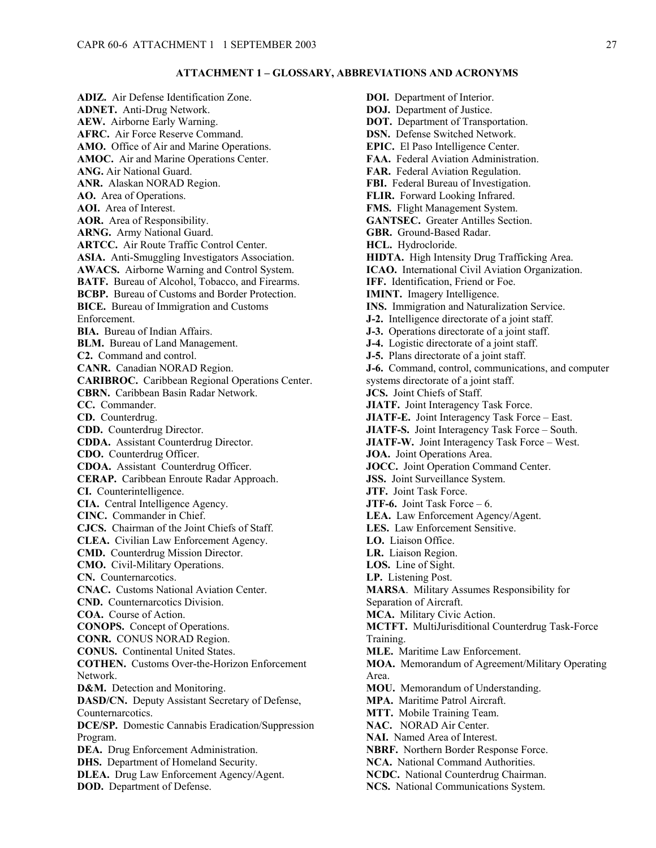#### <span id="page-26-0"></span>**ATTACHMENT 1 – GLOSSARY, ABBREVIATIONS AND ACRONYMS**

**ADIZ.** Air Defense Identification Zone. **ADNET.** Anti-Drug Network. **AEW.** Airborne Early Warning. **AFRC.** Air Force Reserve Command. **AMO.** Office of Air and Marine Operations. **AMOC.** Air and Marine Operations Center. **ANG.** Air National Guard. **ANR.** Alaskan NORAD Region. **AO.** Area of Operations. **AOI.** Area of Interest. **AOR.** Area of Responsibility. **ARNG.** Army National Guard. **ARTCC.** Air Route Traffic Control Center. **ASIA.** Anti-Smuggling Investigators Association. **AWACS.** Airborne Warning and Control System. **BATF.** Bureau of Alcohol, Tobacco, and Firearms. **BCBP.** Bureau of Customs and Border Protection. **BICE.** Bureau of Immigration and Customs Enforcement. **BIA.** Bureau of Indian Affairs. **BLM.** Bureau of Land Management. **C2.** Command and control. **CANR.** Canadian NORAD Region. **CARIBROC.** Caribbean Regional Operations Center. **CBRN.** Caribbean Basin Radar Network. **CC.** Commander. **CD.** Counterdrug. **CDD.** Counterdrug Director. **CDDA.** Assistant Counterdrug Director. **CDO.** Counterdrug Officer. **CDOA.** Assistant Counterdrug Officer. **CERAP.** Caribbean Enroute Radar Approach. **CI.** Counterintelligence. **CIA.** Central Intelligence Agency. **CINC.** Commander in Chief. **CJCS.** Chairman of the Joint Chiefs of Staff. **CLEA.** Civilian Law Enforcement Agency. **CMD.** Counterdrug Mission Director. **CMO.** Civil-Military Operations. **CN.** Counternarcotics. **CNAC.** Customs National Aviation Center. **CND.** Counternarcotics Division. **COA.** Course of Action. **CONOPS.** Concept of Operations. **CONR.** CONUS NORAD Region. **CONUS.** Continental United States. **COTHEN.** Customs Over-the-Horizon Enforcement Network. **D&M.** Detection and Monitoring. **DASD/CN.** Deputy Assistant Secretary of Defense, Counternarcotics. **DCE/SP.** Domestic Cannabis Eradication/Suppression Program. **DEA.** Drug Enforcement Administration. **DHS.** Department of Homeland Security. **DLEA.** Drug Law Enforcement Agency/Agent. **DOD.** Department of Defense.

**DOI.** Department of Interior. **DOJ.** Department of Justice. **DOT.** Department of Transportation. **DSN.** Defense Switched Network. **EPIC.** El Paso Intelligence Center. **FAA.** Federal Aviation Administration. **FAR.** Federal Aviation Regulation. **FBI.** Federal Bureau of Investigation. **FLIR.** Forward Looking Infrared. **FMS.** Flight Management System. **GANTSEC.** Greater Antilles Section. **GBR.** Ground-Based Radar. **HCL.** Hydrocloride. **HIDTA.** High Intensity Drug Trafficking Area. **ICAO.** International Civil Aviation Organization. **IFF.** Identification, Friend or Foe. **IMINT.** Imagery Intelligence. **INS.** Immigration and Naturalization Service. **J-2.** Intelligence directorate of a joint staff. **J-3.** Operations directorate of a joint staff. **J-4.** Logistic directorate of a joint staff. **J-5.** Plans directorate of a joint staff. **J-6.** Command, control, communications, and computer systems directorate of a joint staff. **JCS.** Joint Chiefs of Staff. **JIATF.** Joint Interagency Task Force. **JIATF-E.** Joint Interagency Task Force – East. **JIATF-S.** Joint Interagency Task Force – South. **JIATF-W.** Joint Interagency Task Force – West. **JOA.** Joint Operations Area. **JOCC.** Joint Operation Command Center. **JSS.** Joint Surveillance System. **JTF.** Joint Task Force. **JTF-6.** Joint Task Force – 6. **LEA.** Law Enforcement Agency/Agent. **LES.** Law Enforcement Sensitive. **LO.** Liaison Office. **LR.** Liaison Region. **LOS.** Line of Sight. **LP.** Listening Post. **MARSA**. Military Assumes Responsibility for Separation of Aircraft. **MCA.** Military Civic Action. **MCTFT.** MultiJurisditional Counterdrug Task-Force Training. **MLE.** Maritime Law Enforcement. **MOA.** Memorandum of Agreement/Military Operating Area. **MOU.** Memorandum of Understanding. **MPA.** Maritime Patrol Aircraft. **MTT.** Mobile Training Team. **NAC.** NORAD Air Center. **NAI.** Named Area of Interest. **NBRF.** Northern Border Response Force. **NCA.** National Command Authorities. **NCDC.** National Counterdrug Chairman. **NCS.** National Communications System.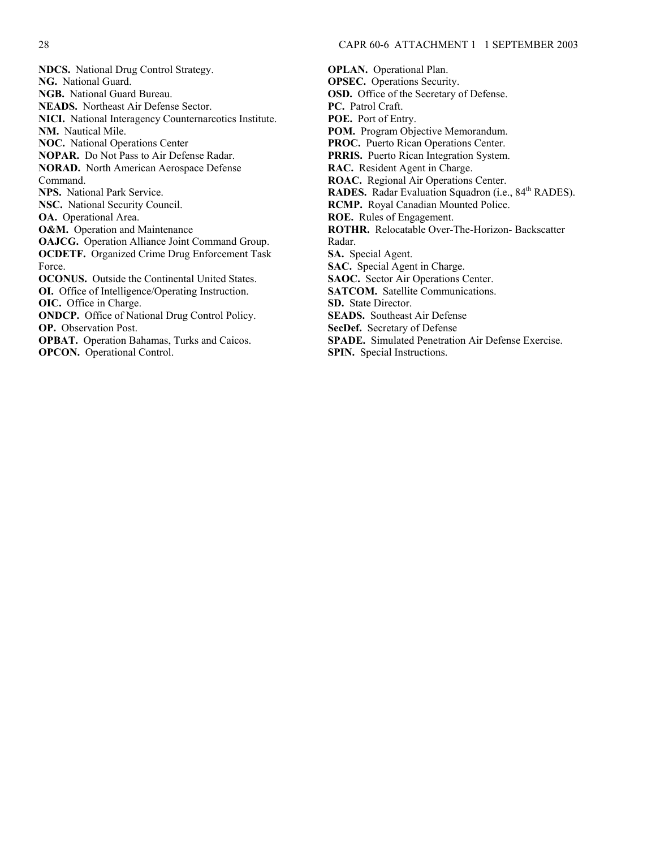**NDCS.** National Drug Control Strategy. **NG.** National Guard. **NGB.** National Guard Bureau. **NEADS.** Northeast Air Defense Sector. **NICI.** National Interagency Counternarcotics Institute. **NM.** Nautical Mile. **NOC.** National Operations Center **NOPAR.** Do Not Pass to Air Defense Radar. **NORAD.** North American Aerospace Defense Command. **NPS.** National Park Service. **NSC.** National Security Council. **OA.** Operational Area. **O&M.** Operation and Maintenance **OAJCG.** Operation Alliance Joint Command Group. **OCDETF.** Organized Crime Drug Enforcement Task Force. **OCONUS.** Outside the Continental United States. **OI.** Office of Intelligence/Operating Instruction. **OIC.** Office in Charge. **ONDCP.** Office of National Drug Control Policy. **OP.** Observation Post. **OPBAT.** Operation Bahamas, Turks and Caicos. **OPCON.** Operational Control.

**OPLAN.** Operational Plan. **OPSEC.** Operations Security. **OSD.** Office of the Secretary of Defense. **PC.** Patrol Craft. **POE.** Port of Entry. **POM.** Program Objective Memorandum. **PROC.** Puerto Rican Operations Center. **PRRIS.** Puerto Rican Integration System. **RAC.** Resident Agent in Charge. **ROAC.** Regional Air Operations Center. **RADES.** Radar Evaluation Squadron (i.e., 84<sup>th</sup> RADES). **RCMP.** Royal Canadian Mounted Police. **ROE.** Rules of Engagement. **ROTHR.** Relocatable Over-The-Horizon- Backscatter Radar. **SA.** Special Agent. **SAC.** Special Agent in Charge. **SAOC.** Sector Air Operations Center. **SATCOM.** Satellite Communications. **SD.** State Director. **SEADS.** Southeast Air Defense **SecDef.** Secretary of Defense **SPADE.** Simulated Penetration Air Defense Exercise. **SPIN.** Special Instructions.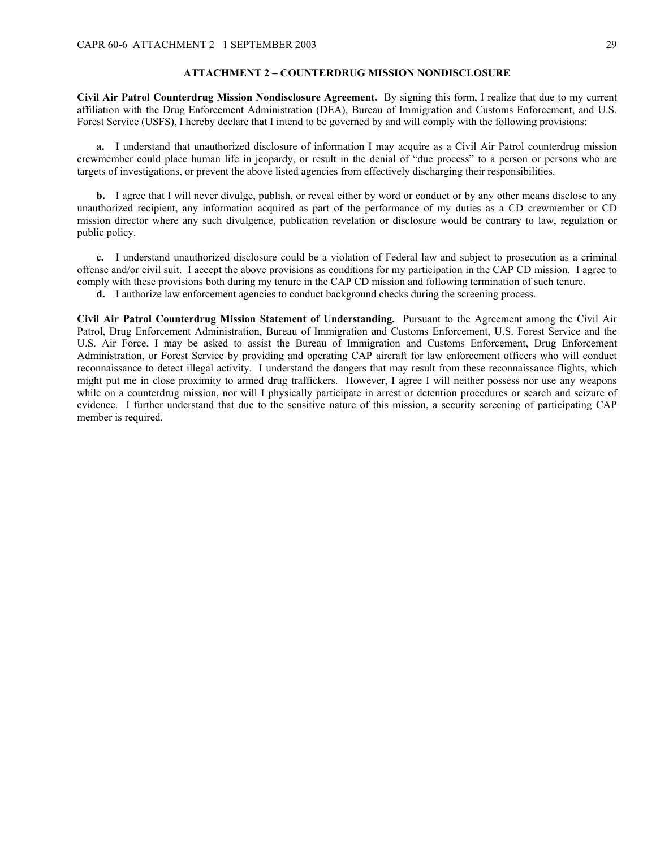### <span id="page-28-0"></span>**ATTACHMENT 2 – COUNTERDRUG MISSION NONDISCLOSURE**

**Civil Air Patrol Counterdrug Mission Nondisclosure Agreement.** By signing this form, I realize that due to my current affiliation with the Drug Enforcement Administration (DEA), Bureau of Immigration and Customs Enforcement, and U.S. Forest Service (USFS), I hereby declare that I intend to be governed by and will comply with the following provisions:

**a.** I understand that unauthorized disclosure of information I may acquire as a Civil Air Patrol counterdrug mission crewmember could place human life in jeopardy, or result in the denial of "due process" to a person or persons who are targets of investigations, or prevent the above listed agencies from effectively discharging their responsibilities.

**b.** I agree that I will never divulge, publish, or reveal either by word or conduct or by any other means disclose to any unauthorized recipient, any information acquired as part of the performance of my duties as a CD crewmember or CD mission director where any such divulgence, publication revelation or disclosure would be contrary to law, regulation or public policy.

**c.** I understand unauthorized disclosure could be a violation of Federal law and subject to prosecution as a criminal offense and/or civil suit. I accept the above provisions as conditions for my participation in the CAP CD mission. I agree to comply with these provisions both during my tenure in the CAP CD mission and following termination of such tenure.

**d.** I authorize law enforcement agencies to conduct background checks during the screening process.

**Civil Air Patrol Counterdrug Mission Statement of Understanding.** Pursuant to the Agreement among the Civil Air Patrol, Drug Enforcement Administration, Bureau of Immigration and Customs Enforcement, U.S. Forest Service and the U.S. Air Force, I may be asked to assist the Bureau of Immigration and Customs Enforcement, Drug Enforcement Administration, or Forest Service by providing and operating CAP aircraft for law enforcement officers who will conduct reconnaissance to detect illegal activity. I understand the dangers that may result from these reconnaissance flights, which might put me in close proximity to armed drug traffickers. However, I agree I will neither possess nor use any weapons while on a counterdrug mission, nor will I physically participate in arrest or detention procedures or search and seizure of evidence. I further understand that due to the sensitive nature of this mission, a security screening of participating CAP member is required.